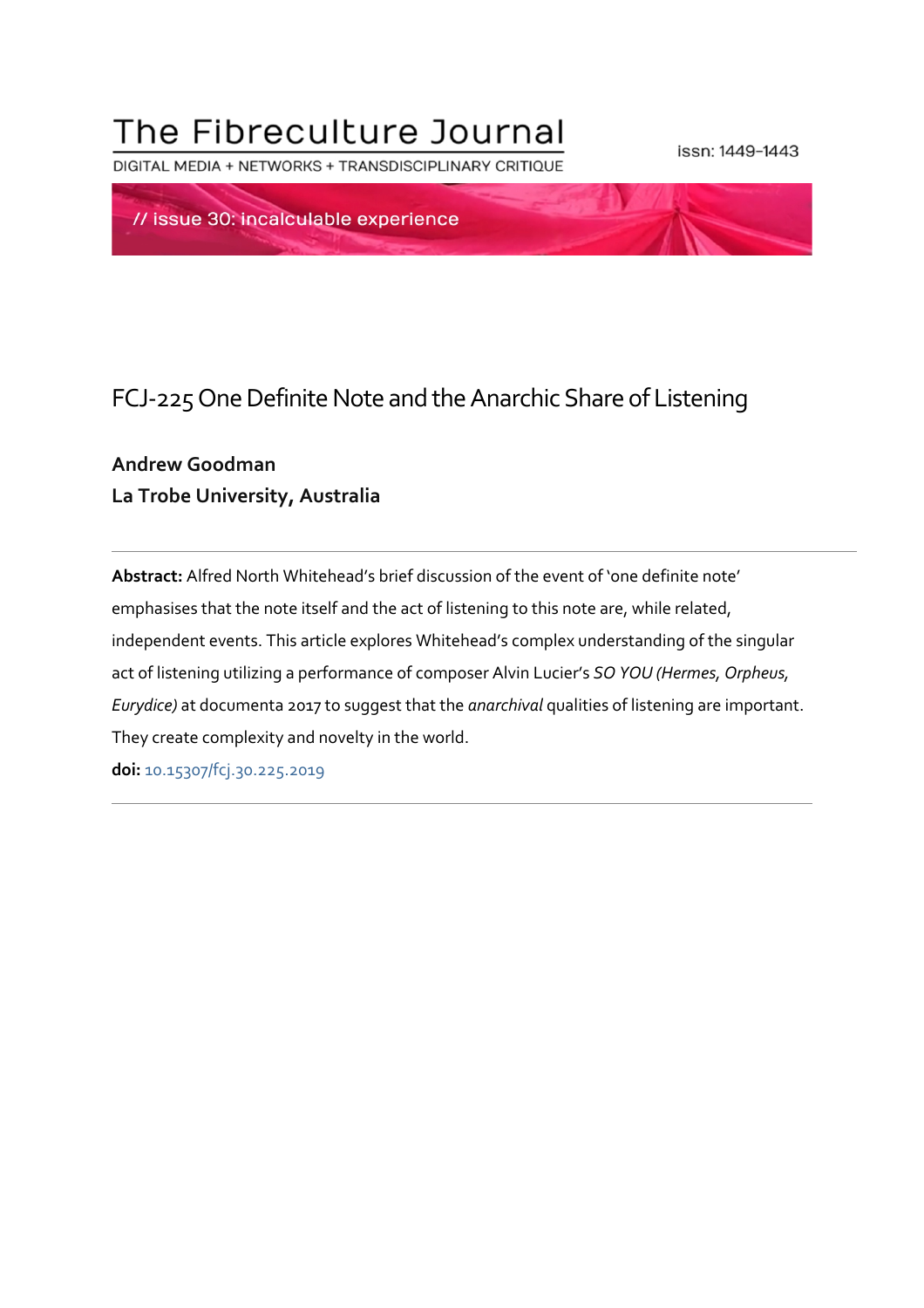# The Fibreculture Journal

DIGITAL MEDIA + NETWORKS + TRANSDISCIPLINARY CRITIOUE

issn: 1449-1443



# FCJ-225 One Definite Note and the Anarchic Share of Listening

## **Andrew Goodman La Trobe University, Australia**

**Abstract:** Alfred North Whitehead's brief discussion of the event of 'one definite note' emphasises that the note itself and the act of listening to this note are, while related, independent events. This article explores Whitehead's complex understanding of the singular act of listening utilizing a performance of composer Alvin Lucier's *SO YOU (Hermes, Orpheus, Eurydice)* at documenta 2017 to suggest that the *anarchival* qualities of listening are important. They create complexity and novelty in the world.

**doi:** 10.15307/fcj.30.225.2019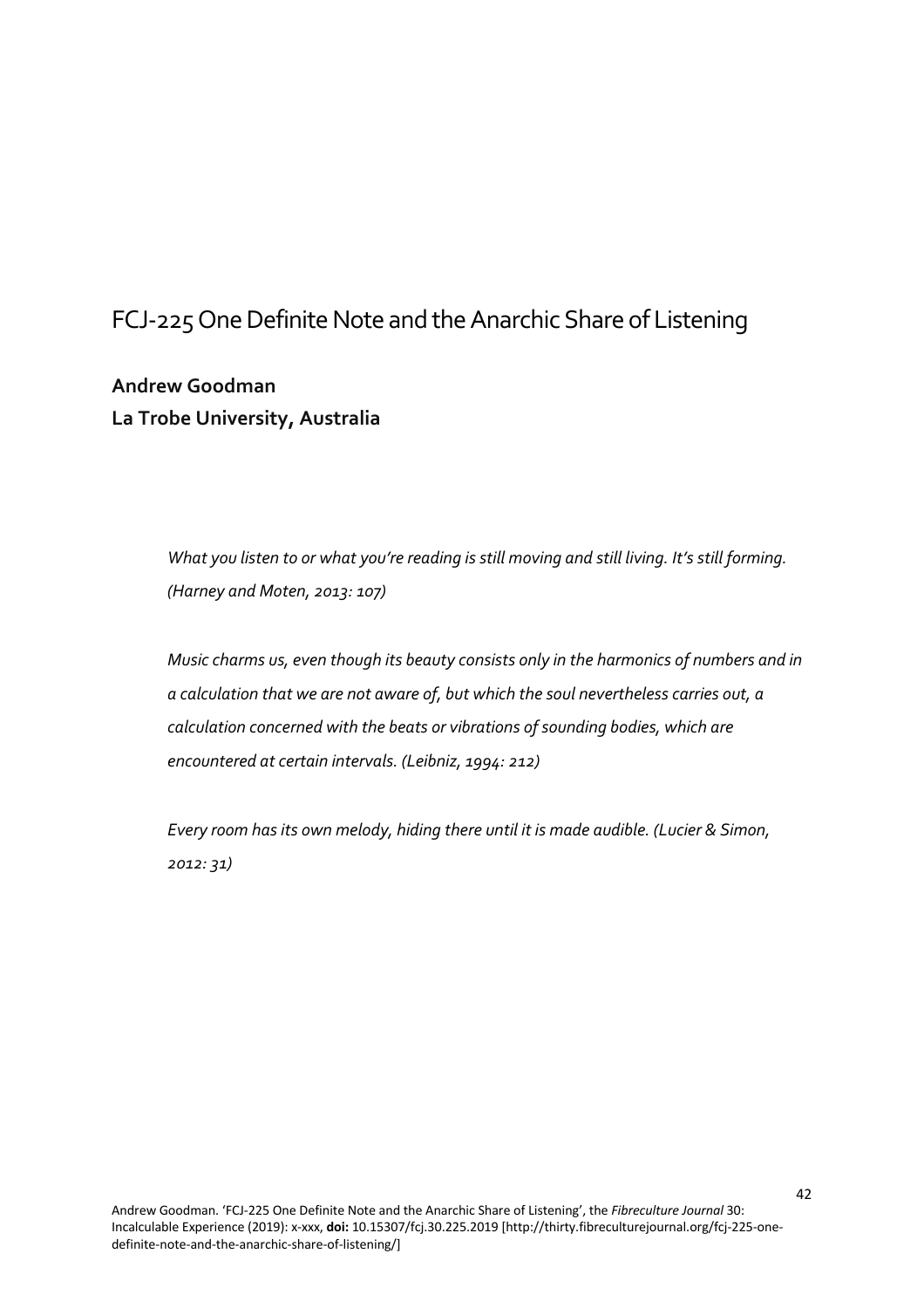# FCJ-225 One Definite Note and the Anarchic Share of Listening

**Andrew Goodman La Trobe University, Australia**

> *What you listen to or what you're reading is still moving and still living. It's still forming. (Harney and Moten, 2013: 107)*

*Music charms us, even though its beauty consists only in the harmonics of numbers and in a calculation that we are not aware of, but which the soul nevertheless carries out, a calculation concerned with the beats or vibrations of sounding bodies, which are encountered at certain intervals. (Leibniz, 1994: 212)*

*Every room has its own melody, hiding there until it is made audible. (Lucier & Simon, 2012: 31)*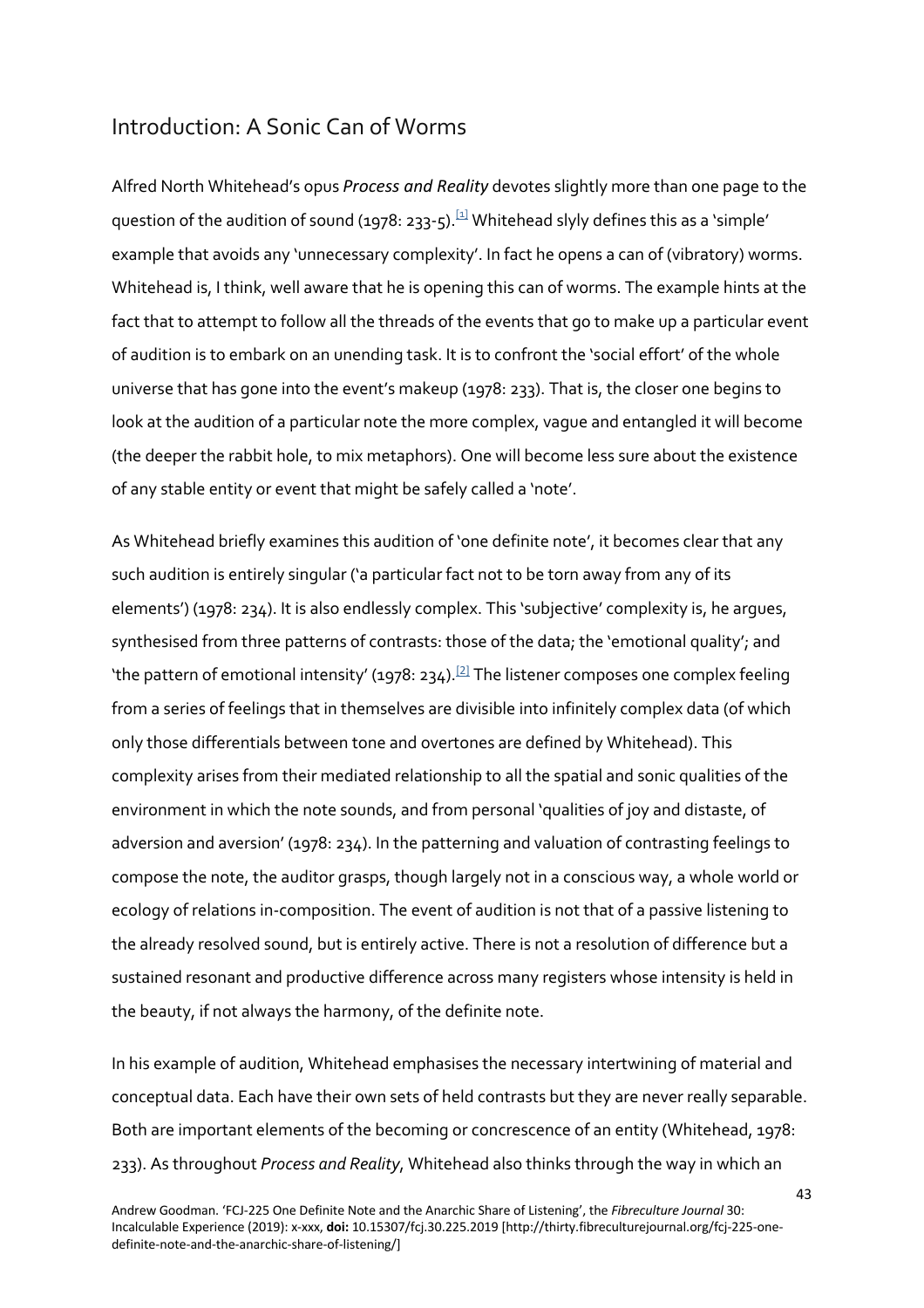#### Introduction: A Sonic Can of Worms

Alfred North Whitehead's opus *Process and Reality* devotes slightly more than one page to the question of the audition of sound (1978: 233-5).<sup>[1]</sup> Whitehead slyly defines this as a 'simple' example that avoids any 'unnecessary complexity'. In fact he opens a can of (vibratory) worms. Whitehead is, I think, well aware that he is opening this can of worms. The example hints at the fact that to attempt to follow all the threads of the events that go to make up a particular event of audition is to embark on an unending task. It is to confront the 'social effort' of the whole universe that has gone into the event's makeup (1978: 233). That is, the closer one begins to look at the audition of a particular note the more complex, vague and entangled it will become (the deeper the rabbit hole, to mix metaphors). One will become less sure about the existence of any stable entity or event that might be safely called a 'note'.

As Whitehead briefly examines this audition of 'one definite note', it becomes clear that any such audition is entirely singular ('a particular fact not to be torn away from any of its elements') (1978: 234). It is also endlessly complex. This 'subjective' complexity is, he argues, synthesised from three patterns of contrasts: those of the data; the 'emotional quality'; and 'the pattern of emotional intensity' (1978: 234).<sup>[2]</sup> The listener composes one complex feeling from a series of feelings that in themselves are divisible into infinitely complex data (of which only those differentials between tone and overtones are defined by Whitehead). This complexity arises from their mediated relationship to all the spatial and sonic qualities of the environment in which the note sounds, and from personal 'qualities of joy and distaste, of adversion and aversion' (1978: 234). In the patterning and valuation of contrasting feelings to compose the note, the auditor grasps, though largely not in a conscious way, a whole world or ecology of relations in-composition. The event of audition is not that of a passive listening to the already resolved sound, but is entirely active. There is not a resolution of difference but a sustained resonant and productive difference across many registers whose intensity is held in the beauty, if not always the harmony, of the definite note.

In his example of audition, Whitehead emphasises the necessary intertwining of material and conceptual data. Each have their own sets of held contrasts but they are never really separable. Both are important elements of the becoming or concrescence of an entity (Whitehead, 1978: 233). As throughout *Process and Reality*, Whitehead also thinks through the way in which an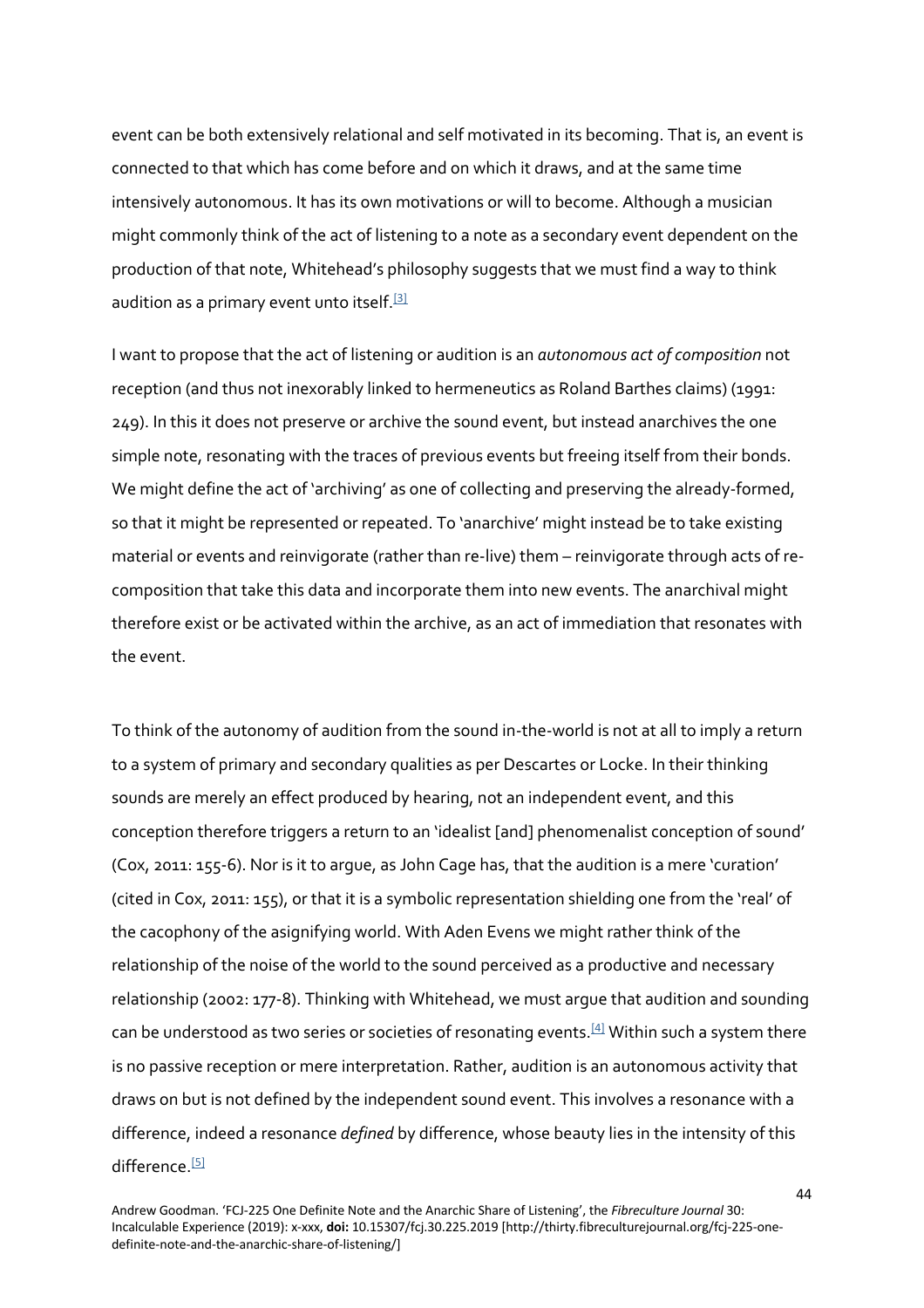event can be both extensively relational and self motivated in its becoming. That is, an event is connected to that which has come before and on which it draws, and at the same time intensively autonomous. It has its own motivations or will to become. Although a musician might commonly think of the act of listening to a note as a secondary event dependent on the production of that note, Whitehead's philosophy suggests that we must find a way to think audition as a primary event unto itself.<sup>[3]</sup>

I want to propose that the act of listening or audition is an *autonomous act of composition* not reception (and thus not inexorably linked to hermeneutics as Roland Barthes claims) (1991: 249). In this it does not preserve or archive the sound event, but instead anarchives the one simple note, resonating with the traces of previous events but freeing itself from their bonds. We might define the act of 'archiving' as one of collecting and preserving the already-formed, so that it might be represented or repeated. To 'anarchive' might instead be to take existing material or events and reinvigorate (rather than re-live) them – reinvigorate through acts of recomposition that take this data and incorporate them into new events. The anarchival might therefore exist or be activated within the archive, as an act of immediation that resonates with the event.

To think of the autonomy of audition from the sound in-the-world is not at all to imply a return to a system of primary and secondary qualities as per Descartes or Locke. In their thinking sounds are merely an effect produced by hearing, not an independent event, and this conception therefore triggers a return to an 'idealist [and] phenomenalist conception of sound' (Cox, 2011: 155-6). Nor is it to argue, as John Cage has, that the audition is a mere 'curation' (cited in Cox, 2011: 155), or that it is a symbolic representation shielding one from the 'real' of the cacophony of the asignifying world. With Aden Evens we might rather think of the relationship of the noise of the world to the sound perceived as a productive and necessary relationship (2002: 177-8). Thinking with Whitehead, we must argue that audition and sounding can be understood as two series or societies of resonating events.<sup>[4]</sup> Within such a system there is no passive reception or mere interpretation. Rather, audition is an autonomous activity that draws on but is not defined by the independent sound event. This involves a resonance with a difference, indeed a resonance *defined* by difference, whose beauty lies in the intensity of this difference<sup>[5]</sup>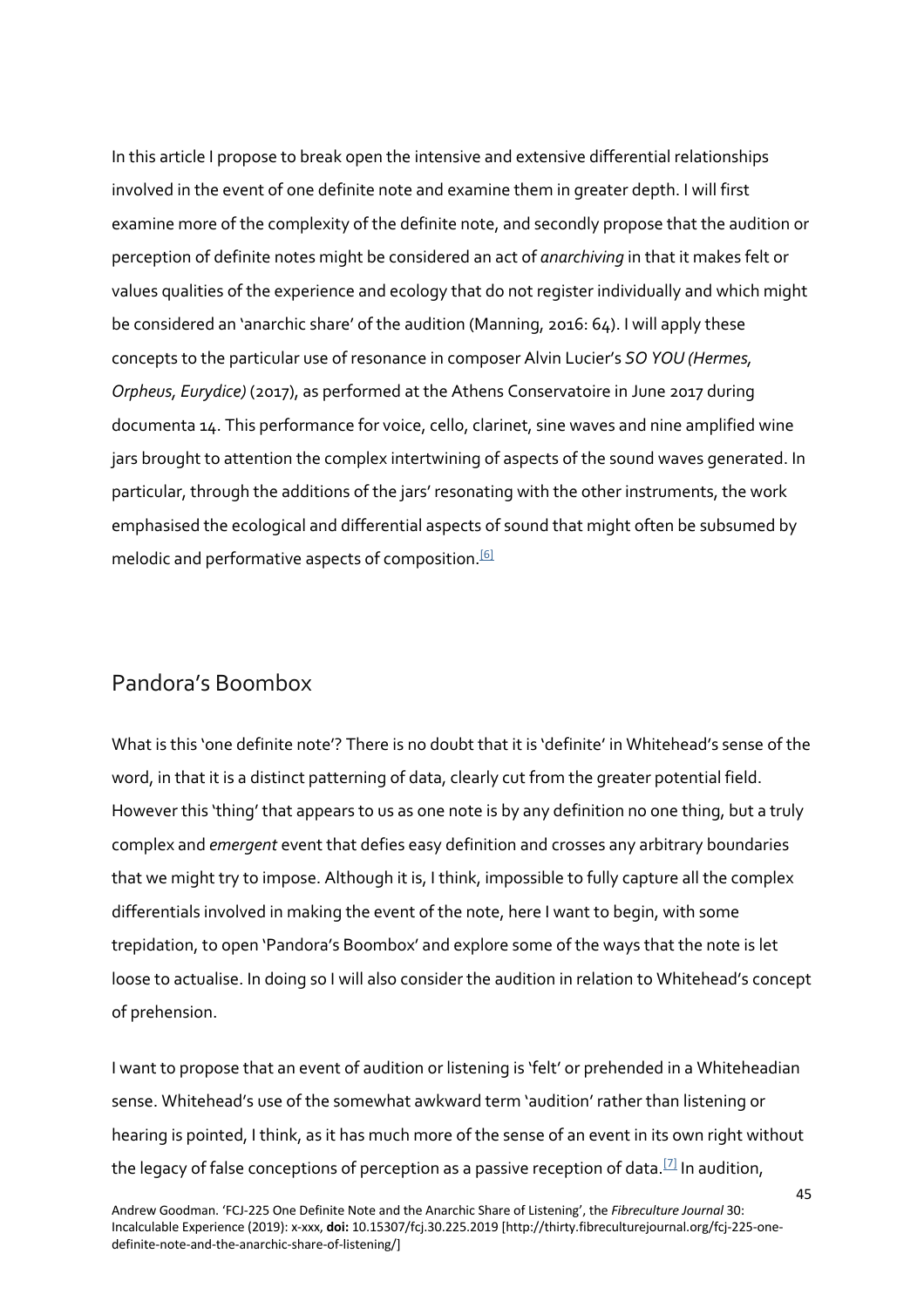In this article I propose to break open the intensive and extensive differential relationships involved in the event of one definite note and examine them in greater depth. I will first examine more of the complexity of the definite note, and secondly propose that the audition or perception of definite notes might be considered an act of *anarchiving* in that it makes felt or values qualities of the experience and ecology that do not register individually and which might be considered an 'anarchic share' of the audition (Manning, 2016: 64). I will apply these concepts to the particular use of resonance in composer Alvin Lucier's *SO YOU (Hermes, Orpheus, Eurydice)* (2017), as performed at the Athens Conservatoire in June 2017 during documenta 14. This performance for voice, cello, clarinet, sine waves and nine amplified wine jars brought to attention the complex intertwining of aspects of the sound waves generated. In particular, through the additions of the jars' resonating with the other instruments, the work emphasised the ecological and differential aspects of sound that might often be subsumed by melodic and performative aspects of composition.<sup>[6]</sup>

#### Pandora's Boombox

What is this 'one definite note'? There is no doubt that it is 'definite' in Whitehead's sense of the word, in that it is a distinct patterning of data, clearly cut from the greater potential field. However this 'thing' that appears to us as one note is by any definition no one thing, but a truly complex and *emergent* event that defies easy definition and crosses any arbitrary boundaries that we might try to impose. Although it is, I think, impossible to fully capture all the complex differentials involved in making the event of the note, here I want to begin, with some trepidation, to open 'Pandora's Boombox' and explore some of the ways that the note is let loose to actualise. In doing so I will also consider the audition in relation to Whitehead's concept of prehension.

I want to propose that an event of audition or listening is 'felt' or prehended in a Whiteheadian sense. Whitehead's use of the somewhat awkward term 'audition' rather than listening or hearing is pointed, I think, as it has much more of the sense of an event in its own right without the legacy of false conceptions of perception as a passive reception of data.<sup>[7]</sup> In audition,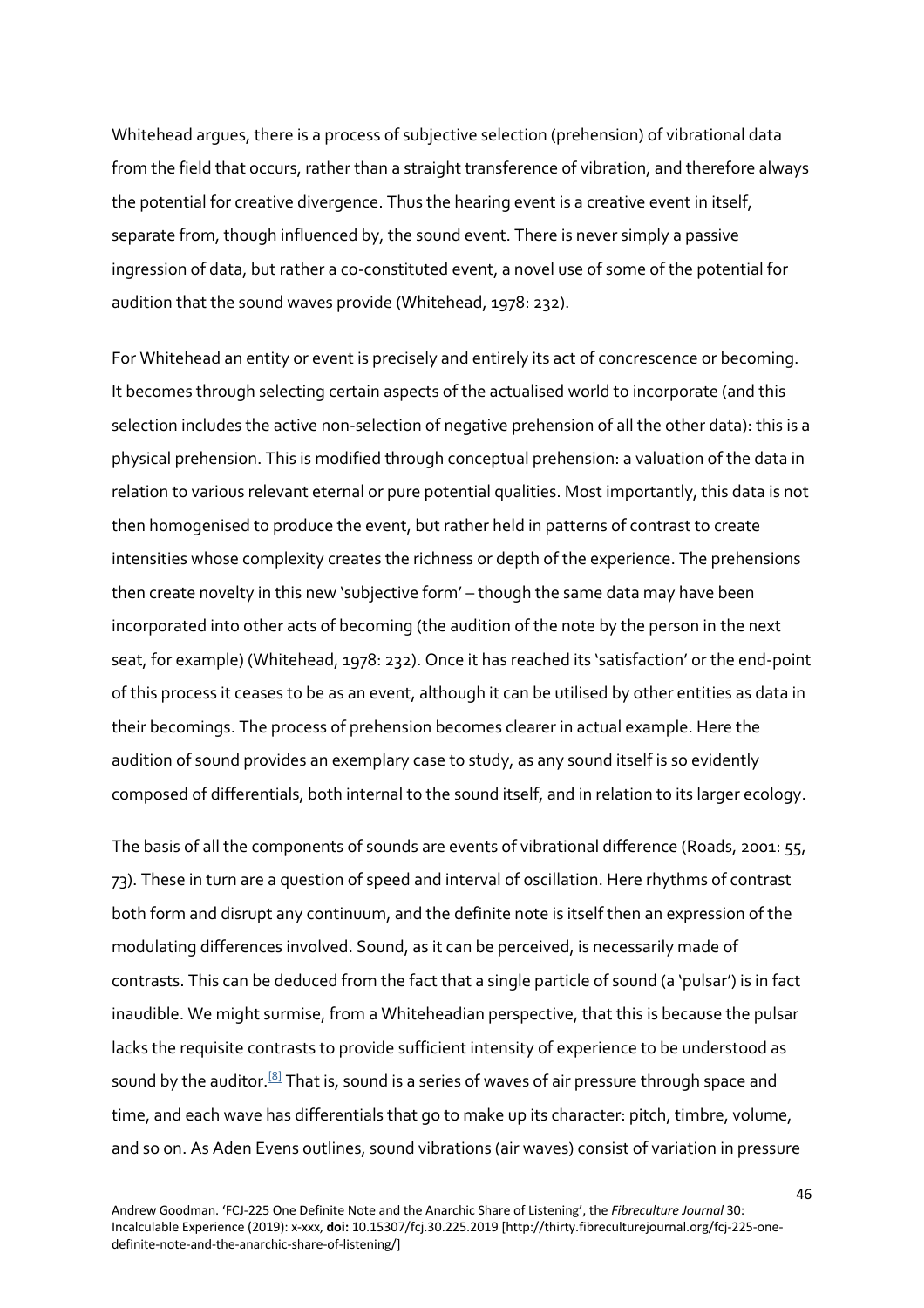Whitehead argues, there is a process of subjective selection (prehension) of vibrational data from the field that occurs, rather than a straight transference of vibration, and therefore always the potential for creative divergence. Thus the hearing event is a creative event in itself, separate from, though influenced by, the sound event. There is never simply a passive ingression of data, but rather a co-constituted event, a novel use of some of the potential for audition that the sound waves provide (Whitehead, 1978: 232).

For Whitehead an entity or event is precisely and entirely its act of concrescence or becoming. It becomes through selecting certain aspects of the actualised world to incorporate (and this selection includes the active non-selection of negative prehension of all the other data): this is a physical prehension. This is modified through conceptual prehension: a valuation of the data in relation to various relevant eternal or pure potential qualities. Most importantly, this data is not then homogenised to produce the event, but rather held in patterns of contrast to create intensities whose complexity creates the richness or depth of the experience. The prehensions then create novelty in this new 'subjective form' – though the same data may have been incorporated into other acts of becoming (the audition of the note by the person in the next seat, for example) (Whitehead, 1978: 232). Once it has reached its 'satisfaction' or the end-point of this process it ceases to be as an event, although it can be utilised by other entities as data in their becomings. The process of prehension becomes clearer in actual example. Here the audition of sound provides an exemplary case to study, as any sound itself is so evidently composed of differentials, both internal to the sound itself, and in relation to its larger ecology.

The basis of all the components of sounds are events of vibrational difference (Roads, 2001: 55, 73). These in turn are a question of speed and interval of oscillation. Here rhythms of contrast both form and disrupt any continuum, and the definite note is itself then an expression of the modulating differences involved. Sound, as it can be perceived, is necessarily made of contrasts. This can be deduced from the fact that a single particle of sound (a 'pulsar') is in fact inaudible. We might surmise, from a Whiteheadian perspective, that this is because the pulsar lacks the requisite contrasts to provide sufficient intensity of experience to be understood as sound by the auditor.<sup>[8]</sup> That is, sound is a series of waves of air pressure through space and time, and each wave has differentials that go to make up its character: pitch, timbre, volume, and so on. As Aden Evens outlines, sound vibrations (air waves) consist of variation in pressure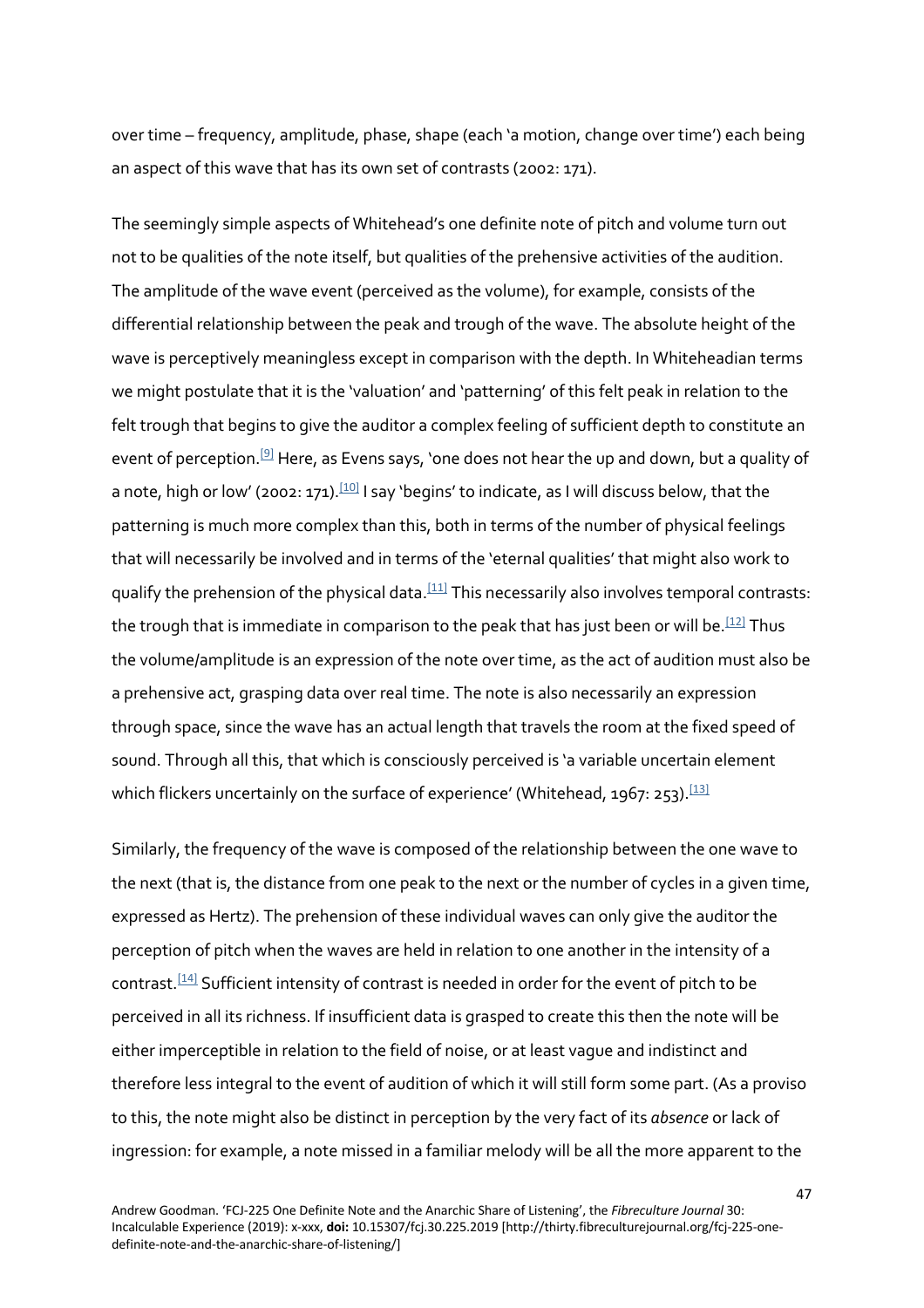over time – frequency, amplitude, phase, shape (each 'a motion, change over time') each being an aspect of this wave that has its own set of contrasts (2002: 171).

The seemingly simple aspects of Whitehead's one definite note of pitch and volume turn out not to be qualities of the note itself, but qualities of the prehensive activities of the audition. The amplitude of the wave event (perceived as the volume), for example, consists of the differential relationship between the peak and trough of the wave. The absolute height of the wave is perceptively meaningless except in comparison with the depth. In Whiteheadian terms we might postulate that it is the 'valuation' and 'patterning' of this felt peak in relation to the felt trough that begins to give the auditor a complex feeling of sufficient depth to constitute an event of perception.<sup>[9]</sup> Here, as Evens says, 'one does not hear the up and down, but a quality of a note, high or low' (2002: 171).<sup>[10]</sup> I say 'begins' to indicate, as I will discuss below, that the patterning is much more complex than this, both in terms of the number of physical feelings that will necessarily be involved and in terms of the 'eternal qualities' that might also work to qualify the prehension of the physical data.<sup>[11]</sup> This necessarily also involves temporal contrasts: the trough that is immediate in comparison to the peak that has just been or will be.<sup>[12]</sup> Thus the volume/amplitude is an expression of the note over time, as the act of audition must also be a prehensive act, grasping data over real time. The note is also necessarily an expression through space, since the wave has an actual length that travels the room at the fixed speed of sound. Through all this, that which is consciously perceived is 'a variable uncertain element which flickers uncertainly on the surface of experience' (Whitehead, 1967: 253).<sup>[13]</sup>

Similarly, the frequency of the wave is composed of the relationship between the one wave to the next (that is, the distance from one peak to the next or the number of cycles in a given time, expressed as Hertz). The prehension of these individual waves can only give the auditor the perception of pitch when the waves are held in relation to one another in the intensity of a contrast.<sup>[14]</sup> Sufficient intensity of contrast is needed in order for the event of pitch to be perceived in all its richness. If insufficient data is grasped to create this then the note will be either imperceptible in relation to the field of noise, or at least vague and indistinct and therefore less integral to the event of audition of which it will still form some part. (As a proviso to this, the note might also be distinct in perception by the very fact of its *absence* or lack of ingression: for example, a note missed in a familiar melody will be all the more apparent to the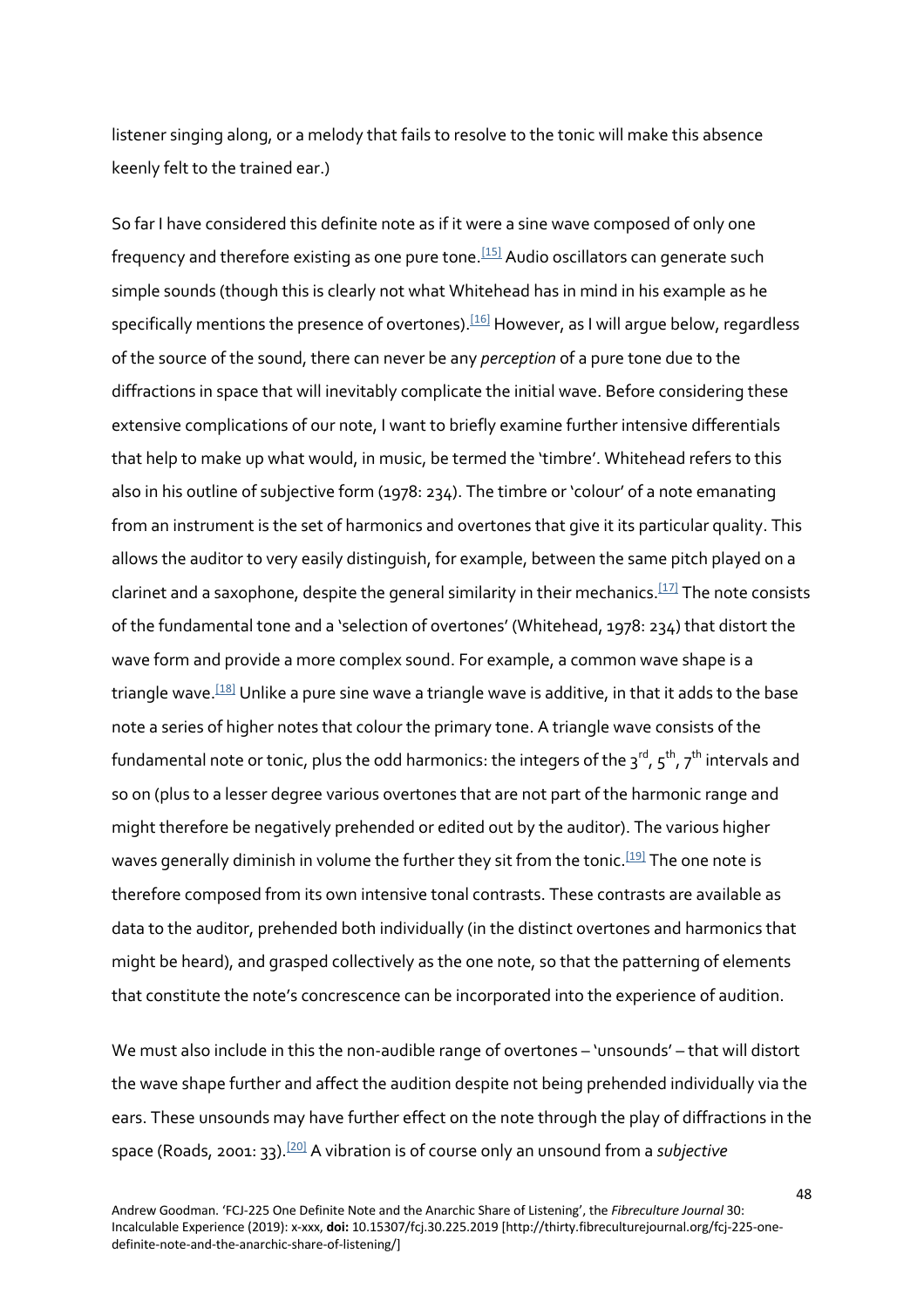listener singing along, or a melody that fails to resolve to the tonic will make this absence keenly felt to the trained ear.)

So far I have considered this definite note as if it were a sine wave composed of only one frequency and therefore existing as one pure tone.<sup>[15]</sup> Audio oscillators can generate such simple sounds (though this is clearly not what Whitehead has in mind in his example as he specifically mentions the presence of overtones).<sup>[16]</sup> However, as I will argue below, regardless of the source of the sound, there can never be any *perception* of a pure tone due to the diffractions in space that will inevitably complicate the initial wave. Before considering these extensive complications of our note, I want to briefly examine further intensive differentials that help to make up what would, in music, be termed the 'timbre'. Whitehead refers to this also in his outline of subjective form (1978: 234). The timbre or 'colour' of a note emanating from an instrument is the set of harmonics and overtones that give it its particular quality. This allows the auditor to very easily distinguish, for example, between the same pitch played on a clarinet and a saxophone, despite the general similarity in their mechanics.<sup>[17]</sup> The note consists of the fundamental tone and a 'selection of overtones' (Whitehead, 1978: 234) that distort the wave form and provide a more complex sound. For example, a common wave shape is a triangle wave.<sup>[18]</sup> Unlike a pure sine wave a triangle wave is additive, in that it adds to the base note a series of higher notes that colour the primary tone. A triangle wave consists of the fundamental note or tonic, plus the odd harmonics: the integers of the 3 $^{\mathsf{rd}}$  , 5  $^{\mathsf{th}}$  , 7  $^{\mathsf{th}}$  intervals and so on (plus to a lesser degree various overtones that are not part of the harmonic range and might therefore be negatively prehended or edited out by the auditor). The various higher waves generally diminish in volume the further they sit from the tonic.<sup>[19]</sup> The one note is therefore composed from its own intensive tonal contrasts. These contrasts are available as data to the auditor, prehended both individually (in the distinct overtones and harmonics that might be heard), and grasped collectively as the one note, so that the patterning of elements that constitute the note's concrescence can be incorporated into the experience of audition.

We must also include in this the non-audible range of overtones – 'unsounds' – that will distort the wave shape further and affect the audition despite not being prehended individually via the ears. These unsounds may have further effect on the note through the play of diffractions in the space (Roads, 2001: 33).[20] A vibration is of course only an unsound from a *subjective*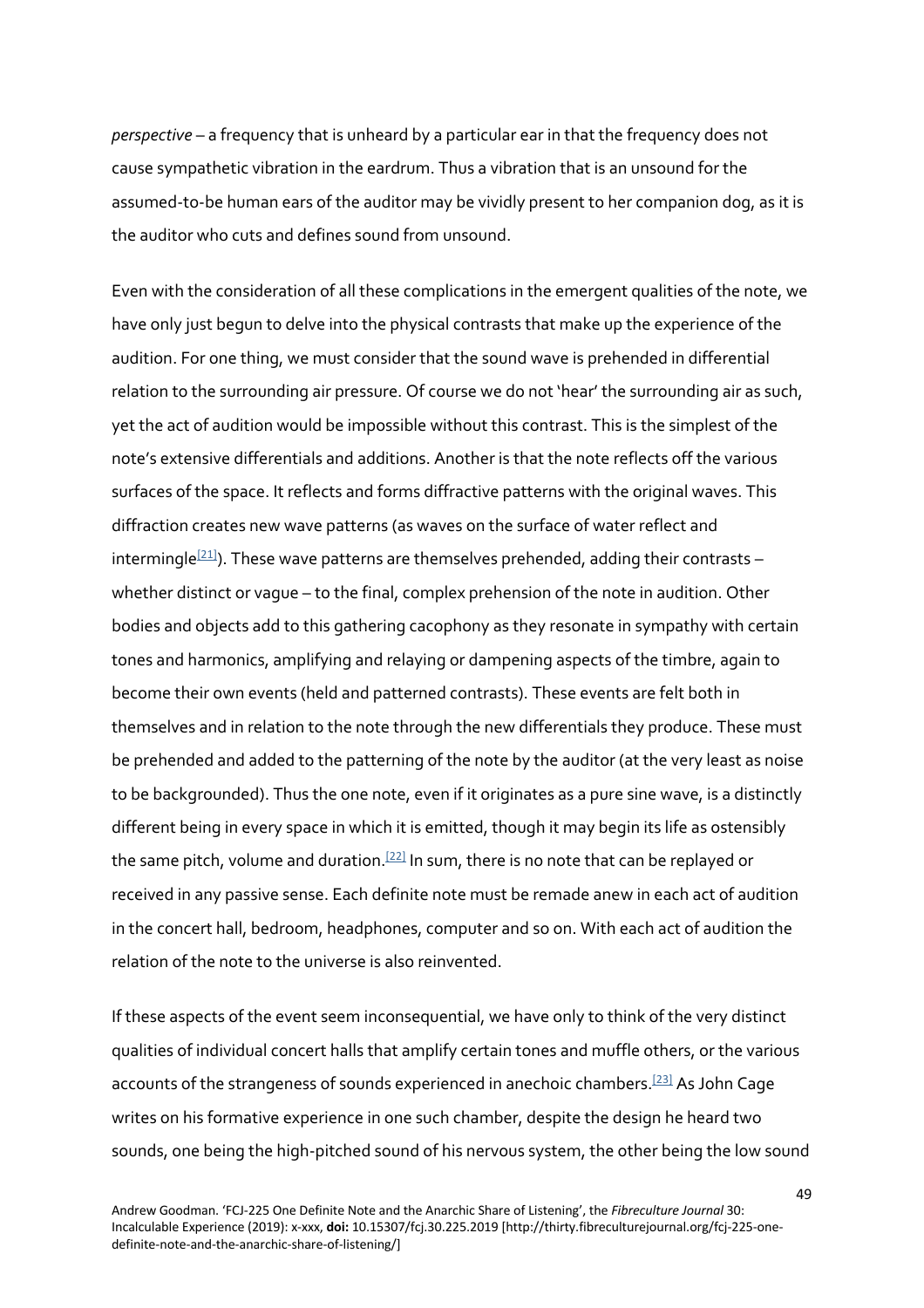*perspective* – a frequency that is unheard by a particular ear in that the frequency does not cause sympathetic vibration in the eardrum. Thus a vibration that is an unsound for the assumed-to-be human ears of the auditor may be vividly present to her companion dog, as it is the auditor who cuts and defines sound from unsound.

Even with the consideration of all these complications in the emergent qualities of the note, we have only just begun to delve into the physical contrasts that make up the experience of the audition. For one thing, we must consider that the sound wave is prehended in differential relation to the surrounding air pressure. Of course we do not 'hear' the surrounding air as such, yet the act of audition would be impossible without this contrast. This is the simplest of the note's extensive differentials and additions. Another is that the note reflects off the various surfaces of the space. It reflects and forms diffractive patterns with the original waves. This diffraction creates new wave patterns (as waves on the surface of water reflect and intermingle<sup>[21]</sup>). These wave patterns are themselves prehended, adding their contrasts whether distinct or vague – to the final, complex prehension of the note in audition. Other bodies and objects add to this gathering cacophony as they resonate in sympathy with certain tones and harmonics, amplifying and relaying or dampening aspects of the timbre, again to become their own events (held and patterned contrasts). These events are felt both in themselves and in relation to the note through the new differentials they produce. These must be prehended and added to the patterning of the note by the auditor (at the very least as noise to be backgrounded). Thus the one note, even if it originates as a pure sine wave, is a distinctly different being in every space in which it is emitted, though it may begin its life as ostensibly the same pitch, volume and duration.<sup>[22]</sup> In sum, there is no note that can be replayed or received in any passive sense. Each definite note must be remade anew in each act of audition in the concert hall, bedroom, headphones, computer and so on. With each act of audition the relation of the note to the universe is also reinvented.

If these aspects of the event seem inconsequential, we have only to think of the very distinct qualities of individual concert halls that amplify certain tones and muffle others, or the various accounts of the strangeness of sounds experienced in anechoic chambers.<sup>[23]</sup> As John Cage writes on his formative experience in one such chamber, despite the design he heard two sounds, one being the high-pitched sound of his nervous system, the other being the low sound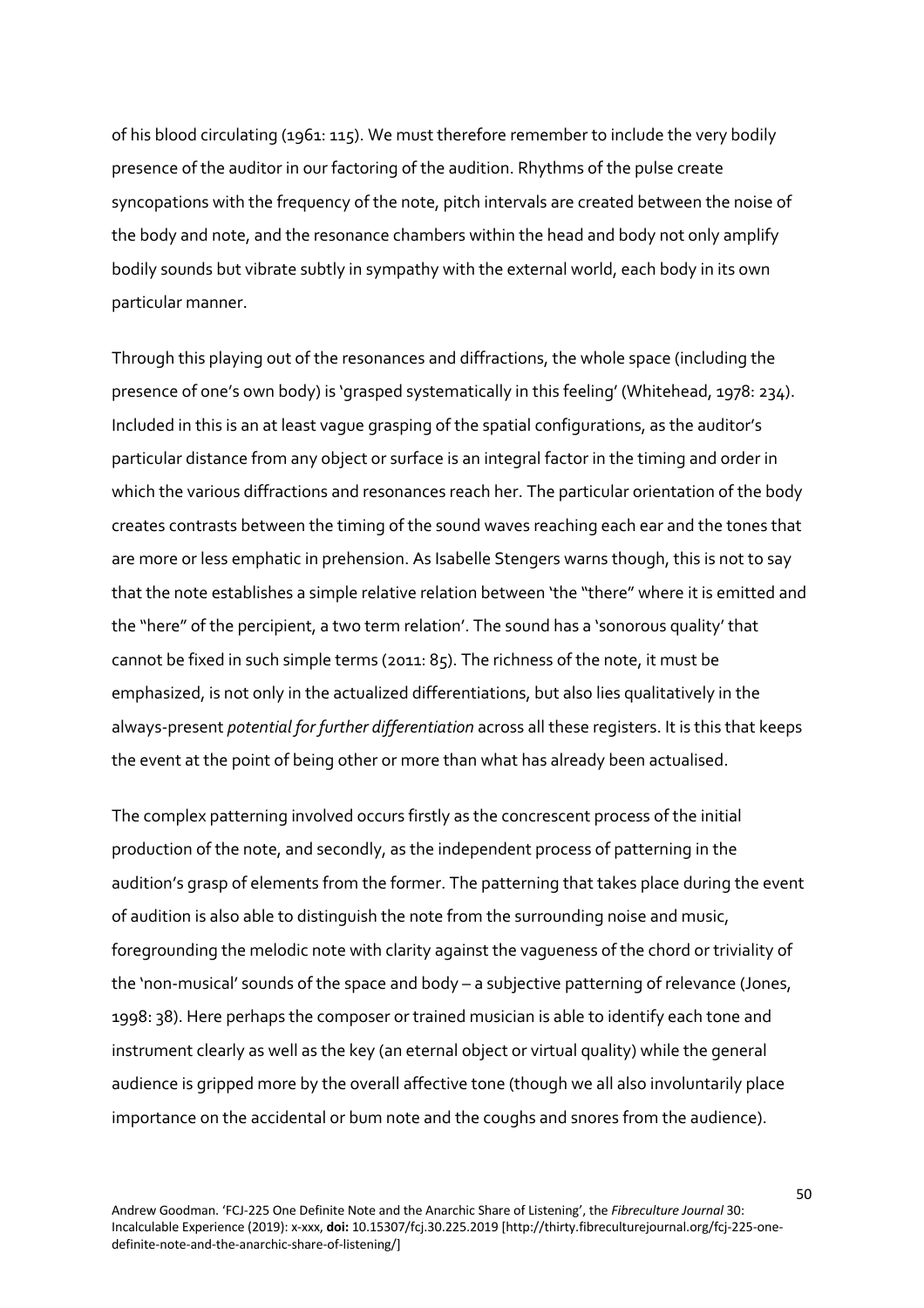of his blood circulating (1961: 115). We must therefore remember to include the very bodily presence of the auditor in our factoring of the audition. Rhythms of the pulse create syncopations with the frequency of the note, pitch intervals are created between the noise of the body and note, and the resonance chambers within the head and body not only amplify bodily sounds but vibrate subtly in sympathy with the external world, each body in its own particular manner.

Through this playing out of the resonances and diffractions, the whole space (including the presence of one's own body) is 'grasped systematically in this feeling' (Whitehead, 1978: 234). Included in this is an at least vague grasping of the spatial configurations, as the auditor's particular distance from any object or surface is an integral factor in the timing and order in which the various diffractions and resonances reach her. The particular orientation of the body creates contrasts between the timing of the sound waves reaching each ear and the tones that are more or less emphatic in prehension. As Isabelle Stengers warns though, this is not to say that the note establishes a simple relative relation between 'the "there" where it is emitted and the "here" of the percipient, a two term relation'. The sound has a 'sonorous quality' that cannot be fixed in such simple terms (2011: 85). The richness of the note, it must be emphasized, is not only in the actualized differentiations, but also lies qualitatively in the always-present *potential for further differentiation* across all these registers. It is this that keeps the event at the point of being other or more than what has already been actualised.

The complex patterning involved occurs firstly as the concrescent process of the initial production of the note, and secondly, as the independent process of patterning in the audition's grasp of elements from the former. The patterning that takes place during the event of audition is also able to distinguish the note from the surrounding noise and music, foregrounding the melodic note with clarity against the vagueness of the chord or triviality of the 'non-musical' sounds of the space and body – a subjective patterning of relevance (Jones, 1998: 38). Here perhaps the composer or trained musician is able to identify each tone and instrument clearly as well as the key (an eternal object or virtual quality) while the general audience is gripped more by the overall affective tone (though we all also involuntarily place importance on the accidental or bum note and the coughs and snores from the audience).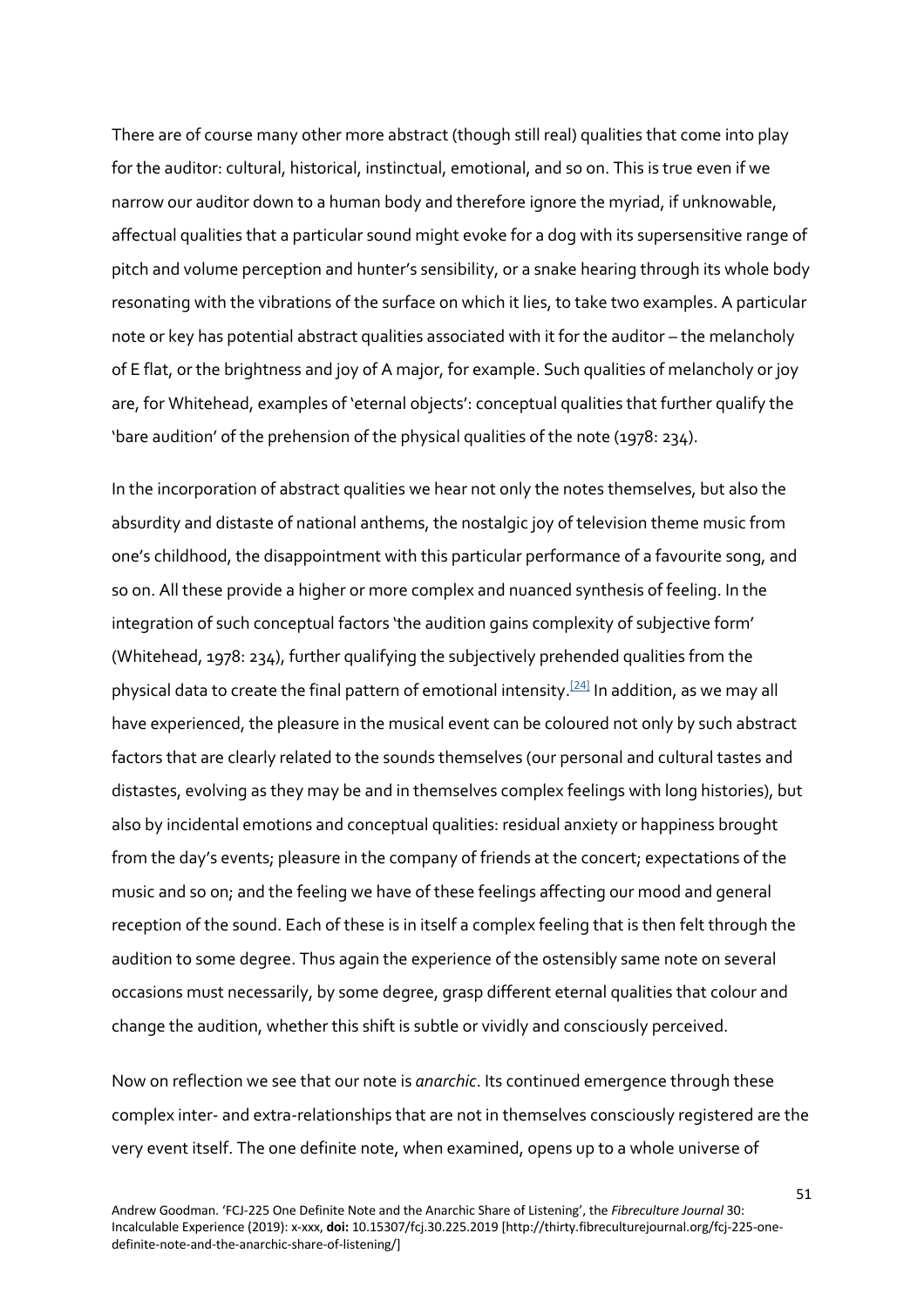There are of course many other more abstract (though still real) qualities that come into play for the auditor: cultural, historical, instinctual, emotional, and so on. This is true even if we narrow our auditor down to a human body and therefore ignore the myriad, if unknowable, affectual qualities that a particular sound might evoke for a dog with its supersensitive range of pitch and volume perception and hunter's sensibility, or a snake hearing through its whole body resonating with the vibrations of the surface on which it lies, to take two examples. A particular note or key has potential abstract qualities associated with it for the auditor – the melancholy of E flat, or the brightness and joy of A major, for example. Such qualities of melancholy or joy are, for Whitehead, examples of 'eternal objects': conceptual qualities that further qualify the 'bare audition' of the prehension of the physical qualities of the note (1978: 234).

In the incorporation of abstract qualities we hear not only the notes themselves, but also the absurdity and distaste of national anthems, the nostalgic joy of television theme music from one's childhood, the disappointment with this particular performance of a favourite song, and so on. All these provide a higher or more complex and nuanced synthesis of feeling. In the integration of such conceptual factors 'the audition gains complexity of subjective form' (Whitehead, 1978: 234), further qualifying the subjectively prehended qualities from the physical data to create the final pattern of emotional intensity.<sup>[24]</sup> In addition, as we may all have experienced, the pleasure in the musical event can be coloured not only by such abstract factors that are clearly related to the sounds themselves (our personal and cultural tastes and distastes, evolving as they may be and in themselves complex feelings with long histories), but also by incidental emotions and conceptual qualities: residual anxiety or happiness brought from the day's events; pleasure in the company of friends at the concert; expectations of the music and so on; and the feeling we have of these feelings affecting our mood and general reception of the sound. Each of these is in itself a complex feeling that is then felt through the audition to some degree. Thus again the experience of the ostensibly same note on several occasions must necessarily, by some degree, grasp different eternal qualities that colour and change the audition, whether this shift is subtle or vividly and consciously perceived.

Now on reflection we see that our note is *anarchic*. Its continued emergence through these complex inter- and extra-relationships that are not in themselves consciously registered are the very event itself. The one definite note, when examined, opens up to a whole universe of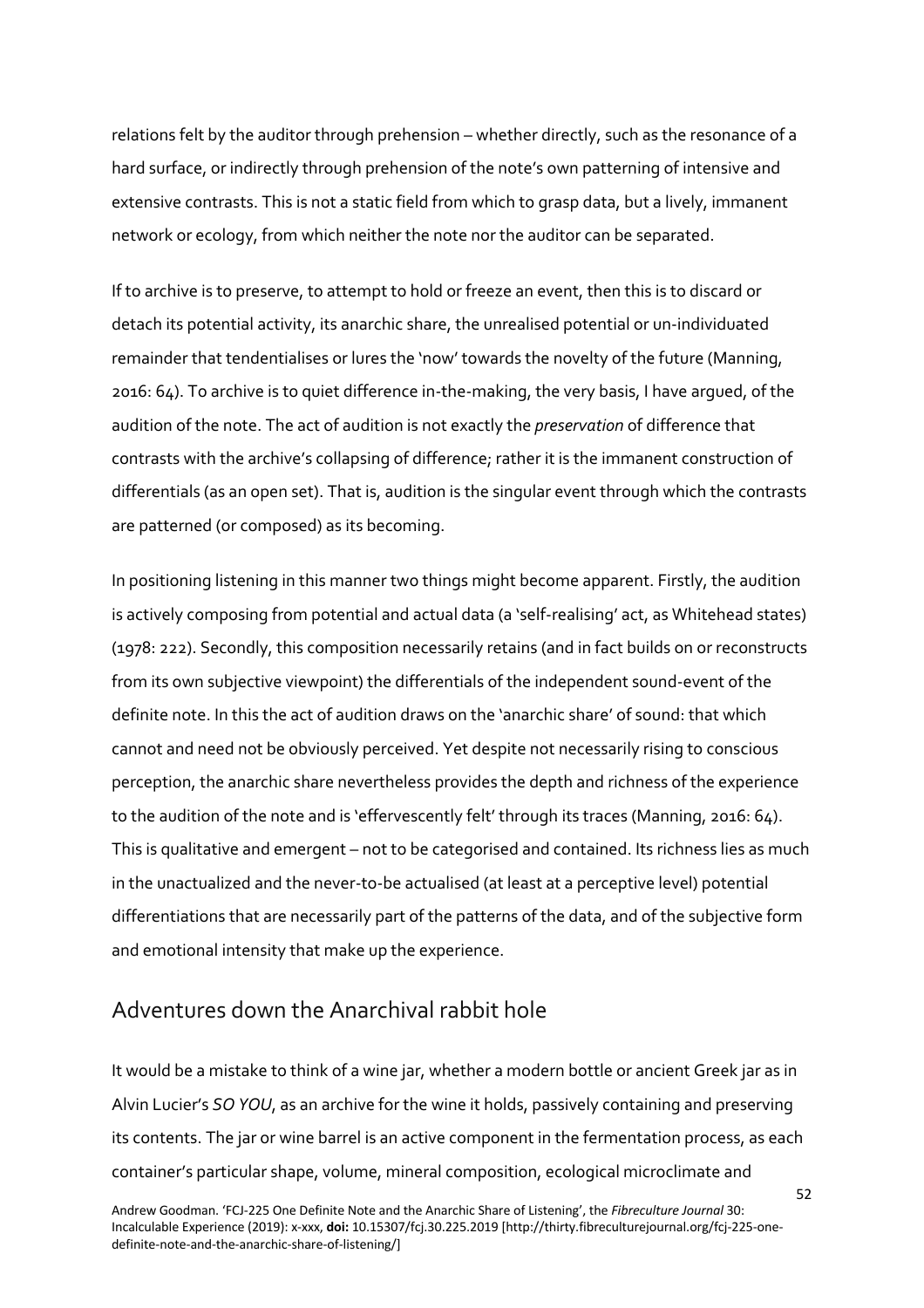relations felt by the auditor through prehension – whether directly, such as the resonance of a hard surface, or indirectly through prehension of the note's own patterning of intensive and extensive contrasts. This is not a static field from which to grasp data, but a lively, immanent network or ecology, from which neither the note nor the auditor can be separated.

If to archive is to preserve, to attempt to hold or freeze an event, then this is to discard or detach its potential activity, its anarchic share, the unrealised potential or un-individuated remainder that tendentialises or lures the 'now' towards the novelty of the future (Manning, 2016: 64). To archive is to quiet difference in-the-making, the very basis, I have argued, of the audition of the note. The act of audition is not exactly the *preservation* of difference that contrasts with the archive's collapsing of difference; rather it is the immanent construction of differentials (as an open set). That is, audition is the singular event through which the contrasts are patterned (or composed) as its becoming.

In positioning listening in this manner two things might become apparent. Firstly, the audition is actively composing from potential and actual data (a 'self-realising' act, as Whitehead states) (1978: 222). Secondly, this composition necessarily retains (and in fact builds on or reconstructs from its own subjective viewpoint) the differentials of the independent sound-event of the definite note. In this the act of audition draws on the 'anarchic share' of sound: that which cannot and need not be obviously perceived. Yet despite not necessarily rising to conscious perception, the anarchic share nevertheless provides the depth and richness of the experience to the audition of the note and is 'effervescently felt' through its traces (Manning, 2016: 64). This is qualitative and emergent – not to be categorised and contained. Its richness lies as much in the unactualized and the never-to-be actualised (at least at a perceptive level) potential differentiations that are necessarily part of the patterns of the data, and of the subjective form and emotional intensity that make up the experience.

### Adventures down the Anarchival rabbit hole

It would be a mistake to think of a wine jar, whether a modern bottle or ancient Greek jar as in Alvin Lucier's *SO YOU*, as an archive for the wine it holds, passively containing and preserving its contents. The jar or wine barrel is an active component in the fermentation process, as each container's particular shape, volume, mineral composition, ecological microclimate and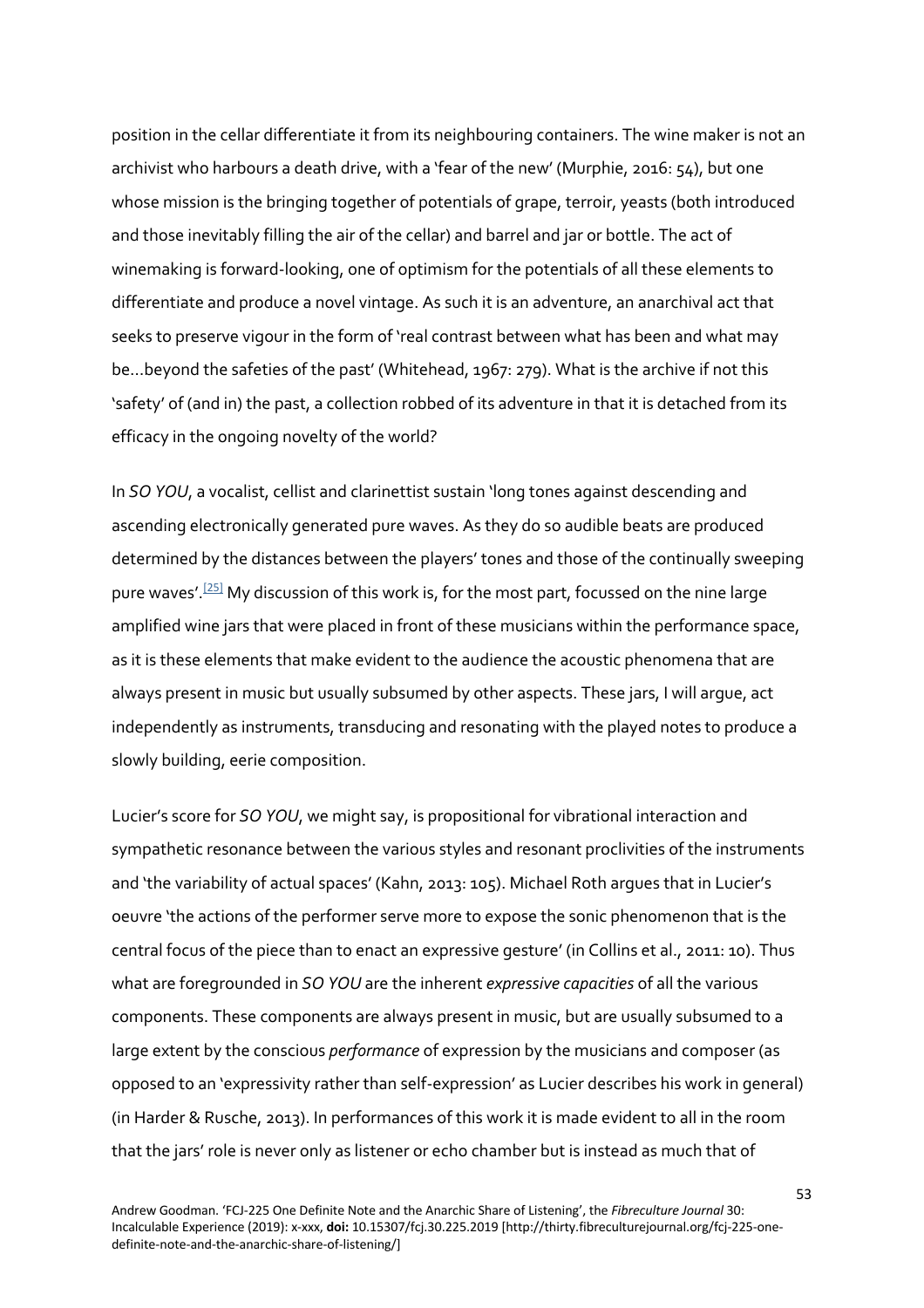position in the cellar differentiate it from its neighbouring containers. The wine maker is not an archivist who harbours a death drive, with a 'fear of the new' (Murphie, 2016: 54), but one whose mission is the bringing together of potentials of grape, terroir, yeasts (both introduced and those inevitably filling the air of the cellar) and barrel and jar or bottle. The act of winemaking is forward-looking, one of optimism for the potentials of all these elements to differentiate and produce a novel vintage. As such it is an adventure, an anarchival act that seeks to preserve vigour in the form of 'real contrast between what has been and what may be…beyond the safeties of the past' (Whitehead, 1967: 279). What is the archive if not this 'safety' of (and in) the past, a collection robbed of its adventure in that it is detached from its efficacy in the ongoing novelty of the world?

In *SO YOU*, a vocalist, cellist and clarinettist sustain 'long tones against descending and ascending electronically generated pure waves. As they do so audible beats are produced determined by the distances between the players' tones and those of the continually sweeping pure waves'.<sup>[25]</sup> My discussion of this work is, for the most part, focussed on the nine large amplified wine jars that were placed in front of these musicians within the performance space, as it is these elements that make evident to the audience the acoustic phenomena that are always present in music but usually subsumed by other aspects. These jars, I will argue, act independently as instruments, transducing and resonating with the played notes to produce a slowly building, eerie composition.

Lucier's score for *SO YOU*, we might say, is propositional for vibrational interaction and sympathetic resonance between the various styles and resonant proclivities of the instruments and 'the variability of actual spaces' (Kahn, 2013: 105). Michael Roth argues that in Lucier's oeuvre 'the actions of the performer serve more to expose the sonic phenomenon that is the central focus of the piece than to enact an expressive gesture' (in Collins et al., 2011: 10). Thus what are foregrounded in *SO YOU* are the inherent *expressive capacities* of all the various components. These components are always present in music, but are usually subsumed to a large extent by the conscious *performance* of expression by the musicians and composer (as opposed to an 'expressivity rather than self-expression' as Lucier describes his work in general) (in Harder & Rusche, 2013). In performances of this work it is made evident to all in the room that the jars' role is never only as listener or echo chamber but is instead as much that of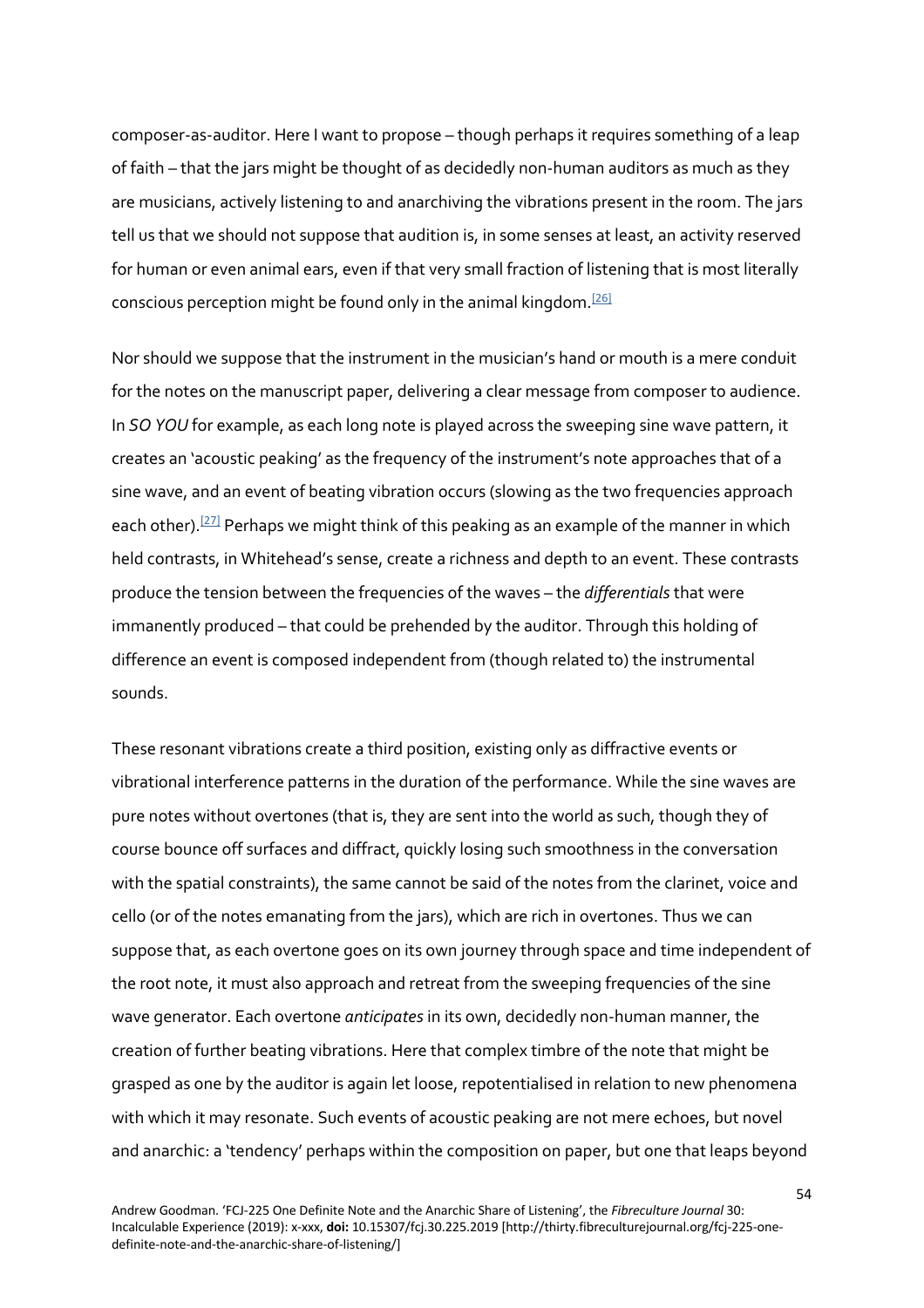composer-as-auditor. Here I want to propose – though perhaps it requires something of a leap of faith – that the jars might be thought of as decidedly non-human auditors as much as they are musicians, actively listening to and anarchiving the vibrations present in the room. The jars tell us that we should not suppose that audition is, in some senses at least, an activity reserved for human or even animal ears, even if that very small fraction of listening that is most literally conscious perception might be found only in the animal kingdom.<sup>[26]</sup>

Nor should we suppose that the instrument in the musician's hand or mouth is a mere conduit for the notes on the manuscript paper, delivering a clear message from composer to audience. In *SO YOU* for example, as each long note is played across the sweeping sine wave pattern, it creates an 'acoustic peaking' as the frequency of the instrument's note approaches that of a sine wave, and an event of beating vibration occurs (slowing as the two frequencies approach each other).<sup>[27]</sup> Perhaps we might think of this peaking as an example of the manner in which held contrasts, in Whitehead's sense, create a richness and depth to an event. These contrasts produce the tension between the frequencies of the waves – the *differentials* that were immanently produced – that could be prehended by the auditor. Through this holding of difference an event is composed independent from (though related to) the instrumental sounds.

These resonant vibrations create a third position, existing only as diffractive events or vibrational interference patterns in the duration of the performance. While the sine waves are pure notes without overtones (that is, they are sent into the world as such, though they of course bounce off surfaces and diffract, quickly losing such smoothness in the conversation with the spatial constraints), the same cannot be said of the notes from the clarinet, voice and cello (or of the notes emanating from the jars), which are rich in overtones. Thus we can suppose that, as each overtone goes on its own journey through space and time independent of the root note, it must also approach and retreat from the sweeping frequencies of the sine wave generator. Each overtone *anticipates* in its own, decidedly non-human manner, the creation of further beating vibrations. Here that complex timbre of the note that might be grasped as one by the auditor is again let loose, repotentialised in relation to new phenomena with which it may resonate. Such events of acoustic peaking are not mere echoes, but novel and anarchic: a 'tendency' perhaps within the composition on paper, but one that leaps beyond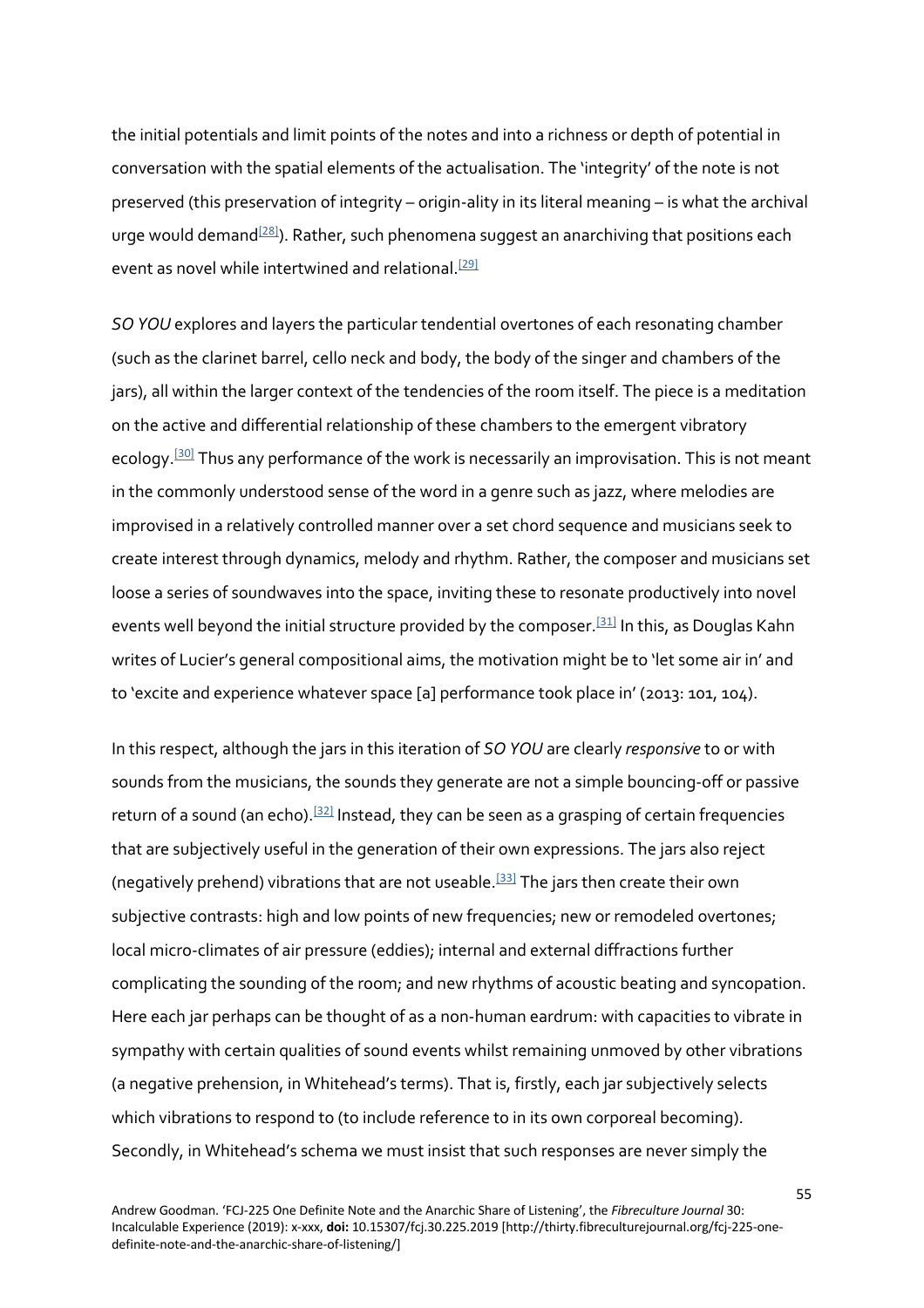the initial potentials and limit points of the notes and into a richness or depth of potential in conversation with the spatial elements of the actualisation. The 'integrity' of the note is not preserved (this preservation of integrity – origin-ality in its literal meaning – is what the archival urge would demand $^{[28]}$ ). Rather, such phenomena suggest an anarchiving that positions each event as novel while intertwined and relational.<sup>[29]</sup>

*SO YOU* explores and layers the particular tendential overtones of each resonating chamber (such as the clarinet barrel, cello neck and body, the body of the singer and chambers of the jars), all within the larger context of the tendencies of the room itself. The piece is a meditation on the active and differential relationship of these chambers to the emergent vibratory ecology.<sup>[30]</sup> Thus any performance of the work is necessarily an improvisation. This is not meant in the commonly understood sense of the word in a genre such as jazz, where melodies are improvised in a relatively controlled manner over a set chord sequence and musicians seek to create interest through dynamics, melody and rhythm. Rather, the composer and musicians set loose a series of soundwaves into the space, inviting these to resonate productively into novel events well beyond the initial structure provided by the composer.<sup>[31]</sup> In this, as Douglas Kahn writes of Lucier's general compositional aims, the motivation might be to 'let some air in' and to 'excite and experience whatever space [a] performance took place in' (2013: 101, 104).

In this respect, although the jars in this iteration of *SO YOU* are clearly *responsive* to or with sounds from the musicians, the sounds they generate are not a simple bouncing-off or passive return of a sound (an echo).<sup>[32]</sup> Instead, they can be seen as a grasping of certain frequencies that are subjectively useful in the generation of their own expressions. The jars also reject (negatively prehend) vibrations that are not useable.<sup>[33]</sup> The jars then create their own subjective contrasts: high and low points of new frequencies; new or remodeled overtones; local micro-climates of air pressure (eddies); internal and external diffractions further complicating the sounding of the room; and new rhythms of acoustic beating and syncopation. Here each jar perhaps can be thought of as a non-human eardrum: with capacities to vibrate in sympathy with certain qualities of sound events whilst remaining unmoved by other vibrations (a negative prehension, in Whitehead's terms). That is, firstly, each jar subjectively selects which vibrations to respond to (to include reference to in its own corporeal becoming). Secondly, in Whitehead's schema we must insist that such responses are never simply the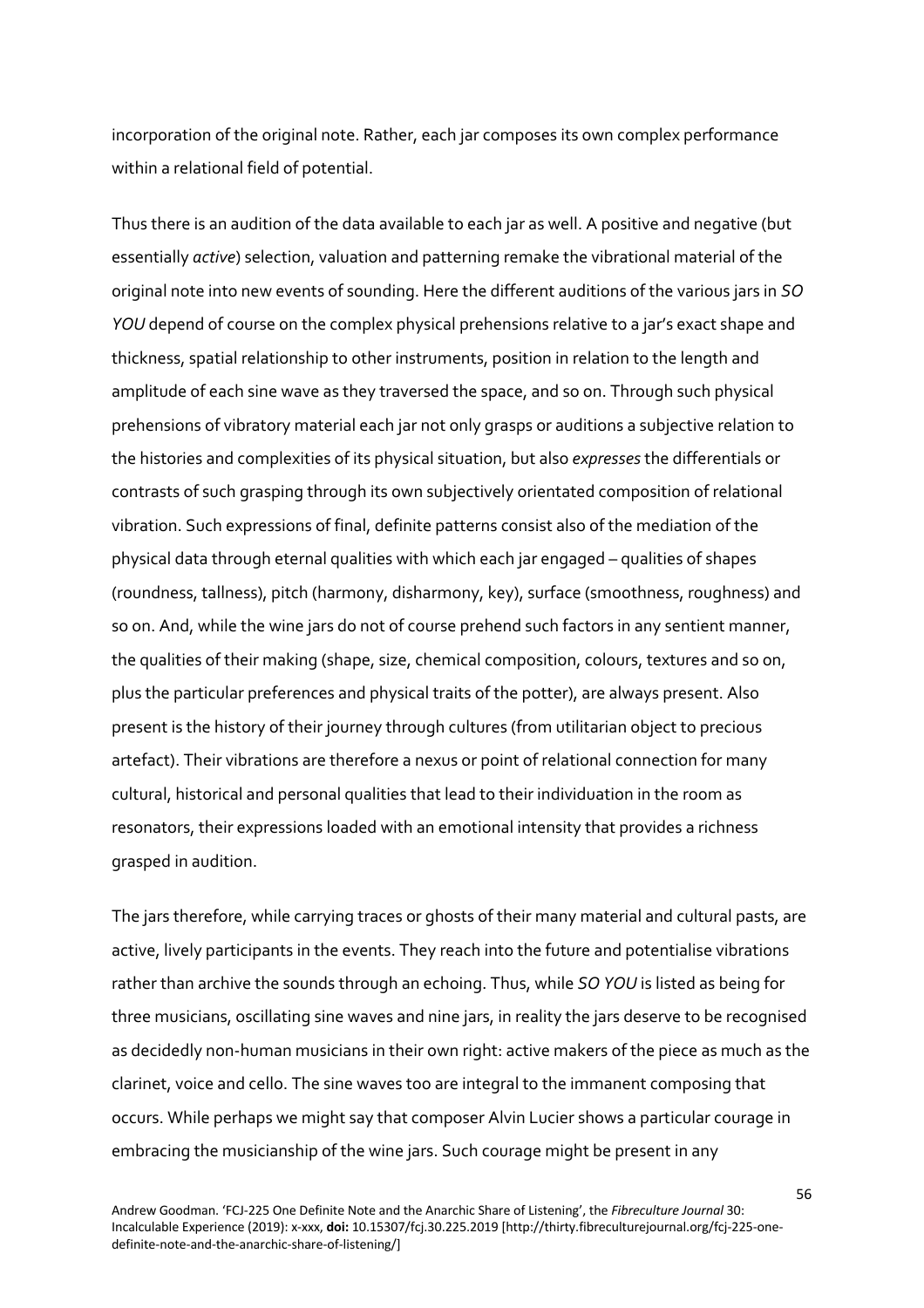incorporation of the original note. Rather, each jar composes its own complex performance within a relational field of potential.

Thus there is an audition of the data available to each jar as well. A positive and negative (but essentially *active*) selection, valuation and patterning remake the vibrational material of the original note into new events of sounding. Here the different auditions of the various jars in *SO YOU* depend of course on the complex physical prehensions relative to a jar's exact shape and thickness, spatial relationship to other instruments, position in relation to the length and amplitude of each sine wave as they traversed the space, and so on. Through such physical prehensions of vibratory material each jar not only grasps or auditions a subjective relation to the histories and complexities of its physical situation, but also *expresses* the differentials or contrasts of such grasping through its own subjectively orientated composition of relational vibration. Such expressions of final, definite patterns consist also of the mediation of the physical data through eternal qualities with which each jar engaged – qualities of shapes (roundness, tallness), pitch (harmony, disharmony, key), surface (smoothness, roughness) and so on. And, while the wine jars do not of course prehend such factors in any sentient manner, the qualities of their making (shape, size, chemical composition, colours, textures and so on, plus the particular preferences and physical traits of the potter), are always present. Also present is the history of their journey through cultures (from utilitarian object to precious artefact). Their vibrations are therefore a nexus or point of relational connection for many cultural, historical and personal qualities that lead to their individuation in the room as resonators, their expressions loaded with an emotional intensity that provides a richness grasped in audition.

The jars therefore, while carrying traces or ghosts of their many material and cultural pasts, are active, lively participants in the events. They reach into the future and potentialise vibrations rather than archive the sounds through an echoing. Thus, while *SO YOU* is listed as being for three musicians, oscillating sine waves and nine jars, in reality the jars deserve to be recognised as decidedly non-human musicians in their own right: active makers of the piece as much as the clarinet, voice and cello. The sine waves too are integral to the immanent composing that occurs. While perhaps we might say that composer Alvin Lucier shows a particular courage in embracing the musicianship of the wine jars. Such courage might be present in any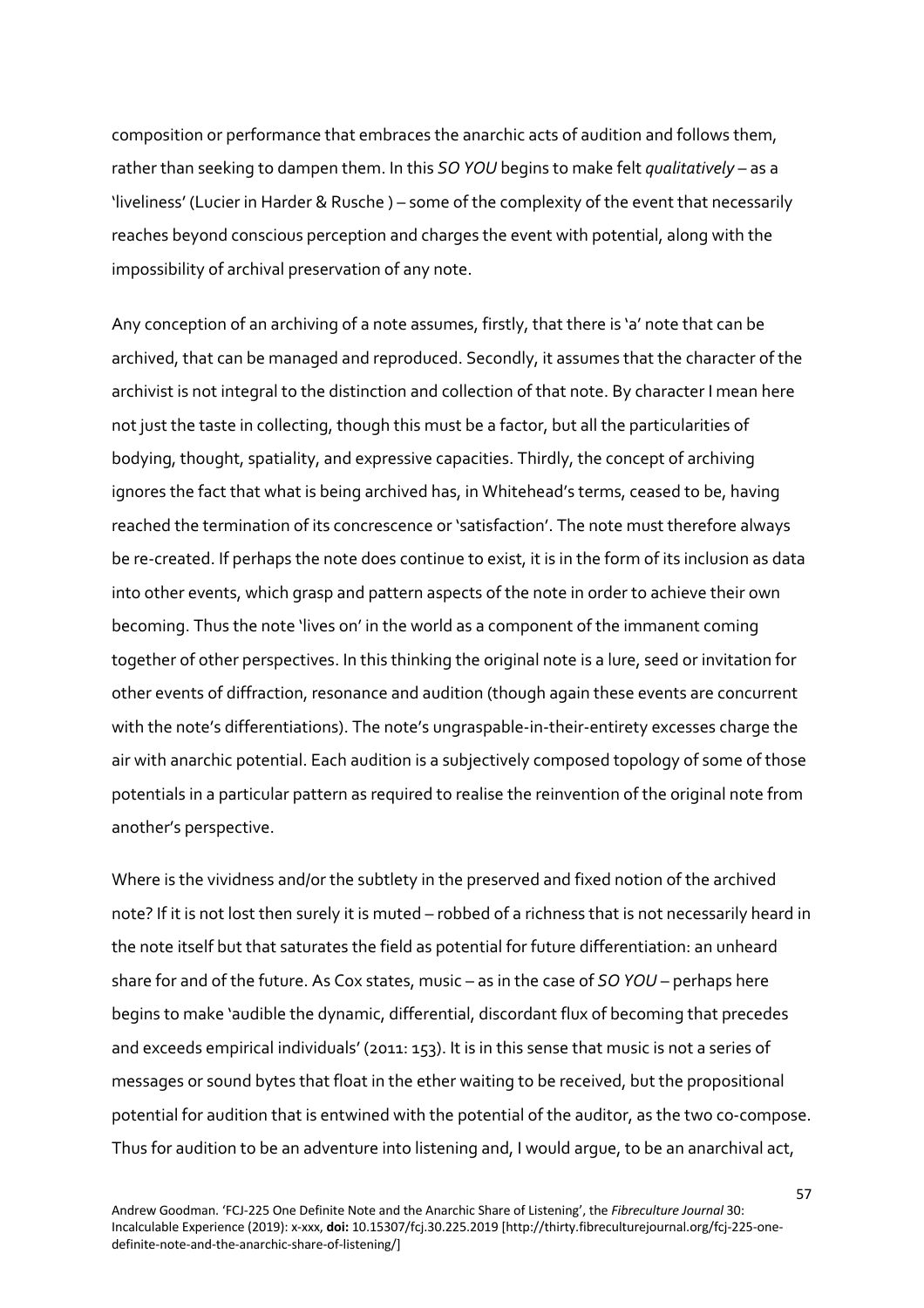composition or performance that embraces the anarchic acts of audition and follows them, rather than seeking to dampen them. In this *SO YOU* begins to make felt *qualitatively* – as a 'liveliness' (Lucier in Harder & Rusche ) – some of the complexity of the event that necessarily reaches beyond conscious perception and charges the event with potential, along with the impossibility of archival preservation of any note.

Any conception of an archiving of a note assumes, firstly, that there is 'a' note that can be archived, that can be managed and reproduced. Secondly, it assumes that the character of the archivist is not integral to the distinction and collection of that note. By character I mean here not just the taste in collecting, though this must be a factor, but all the particularities of bodying, thought, spatiality, and expressive capacities. Thirdly, the concept of archiving ignores the fact that what is being archived has, in Whitehead's terms, ceased to be, having reached the termination of its concrescence or 'satisfaction'. The note must therefore always be re-created. If perhaps the note does continue to exist, it is in the form of its inclusion as data into other events, which grasp and pattern aspects of the note in order to achieve their own becoming. Thus the note 'lives on' in the world as a component of the immanent coming together of other perspectives. In this thinking the original note is a lure, seed or invitation for other events of diffraction, resonance and audition (though again these events are concurrent with the note's differentiations). The note's ungraspable-in-their-entirety excesses charge the air with anarchic potential. Each audition is a subjectively composed topology of some of those potentials in a particular pattern as required to realise the reinvention of the original note from another's perspective.

Where is the vividness and/or the subtlety in the preserved and fixed notion of the archived note? If it is not lost then surely it is muted – robbed of a richness that is not necessarily heard in the note itself but that saturates the field as potential for future differentiation: an unheard share for and of the future. As Cox states, music – as in the case of *SO YOU* – perhaps here begins to make 'audible the dynamic, differential, discordant flux of becoming that precedes and exceeds empirical individuals' (2011: 153). It is in this sense that music is not a series of messages or sound bytes that float in the ether waiting to be received, but the propositional potential for audition that is entwined with the potential of the auditor, as the two co-compose. Thus for audition to be an adventure into listening and, I would argue, to be an anarchival act,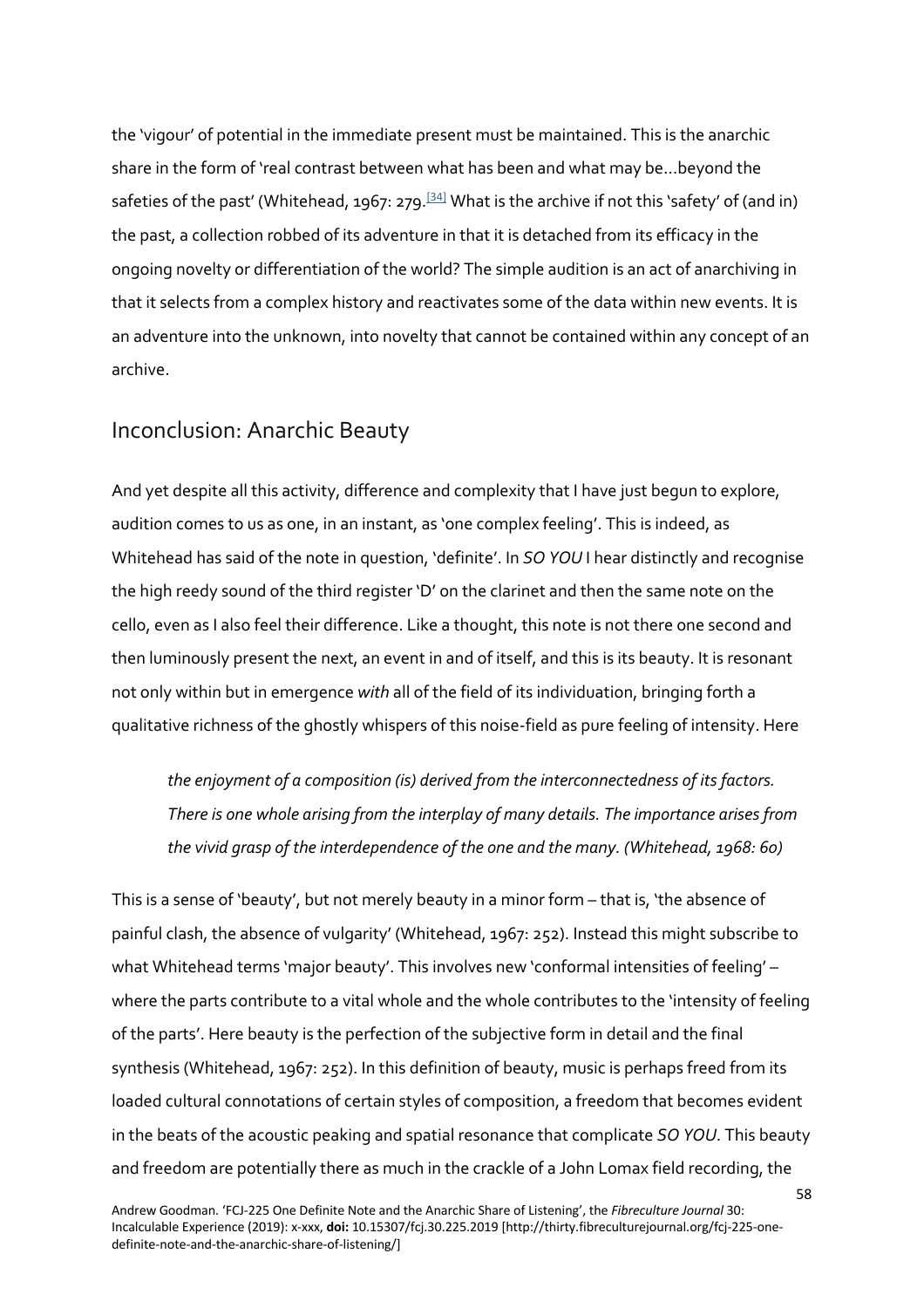the 'vigour' of potential in the immediate present must be maintained. This is the anarchic share in the form of 'real contrast between what has been and what may be…beyond the safeties of the past' (Whitehead, 1967: 279.<sup>[34]</sup> What is the archive if not this 'safety' of (and in) the past, a collection robbed of its adventure in that it is detached from its efficacy in the ongoing novelty or differentiation of the world? The simple audition is an act of anarchiving in that it selects from a complex history and reactivates some of the data within new events. It is an adventure into the unknown, into novelty that cannot be contained within any concept of an archive.

#### Inconclusion: Anarchic Beauty

And yet despite all this activity, difference and complexity that I have just begun to explore, audition comes to us as one, in an instant, as 'one complex feeling'. This is indeed, as Whitehead has said of the note in question, 'definite'. In *SO YOU* I hear distinctly and recognise the high reedy sound of the third register 'D' on the clarinet and then the same note on the cello, even as I also feel their difference. Like a thought, this note is not there one second and then luminously present the next, an event in and of itself, and this is its beauty. It is resonant not only within but in emergence *with* all of the field of its individuation, bringing forth a qualitative richness of the ghostly whispers of this noise-field as pure feeling of intensity. Here

*the enjoyment of a composition (is) derived from the interconnectedness of its factors. There is one whole arising from the interplay of many details. The importance arises from the vivid grasp of the interdependence of the one and the many. (Whitehead, 1968: 60)*

This is a sense of 'beauty', but not merely beauty in a minor form – that is, 'the absence of painful clash, the absence of vulgarity' (Whitehead, 1967: 252). Instead this might subscribe to what Whitehead terms 'major beauty'. This involves new 'conformal intensities of feeling' – where the parts contribute to a vital whole and the whole contributes to the 'intensity of feeling of the parts'. Here beauty is the perfection of the subjective form in detail and the final synthesis (Whitehead, 1967: 252). In this definition of beauty, music is perhaps freed from its loaded cultural connotations of certain styles of composition, a freedom that becomes evident in the beats of the acoustic peaking and spatial resonance that complicate *SO YOU*. This beauty and freedom are potentially there as much in the crackle of a John Lomax field recording, the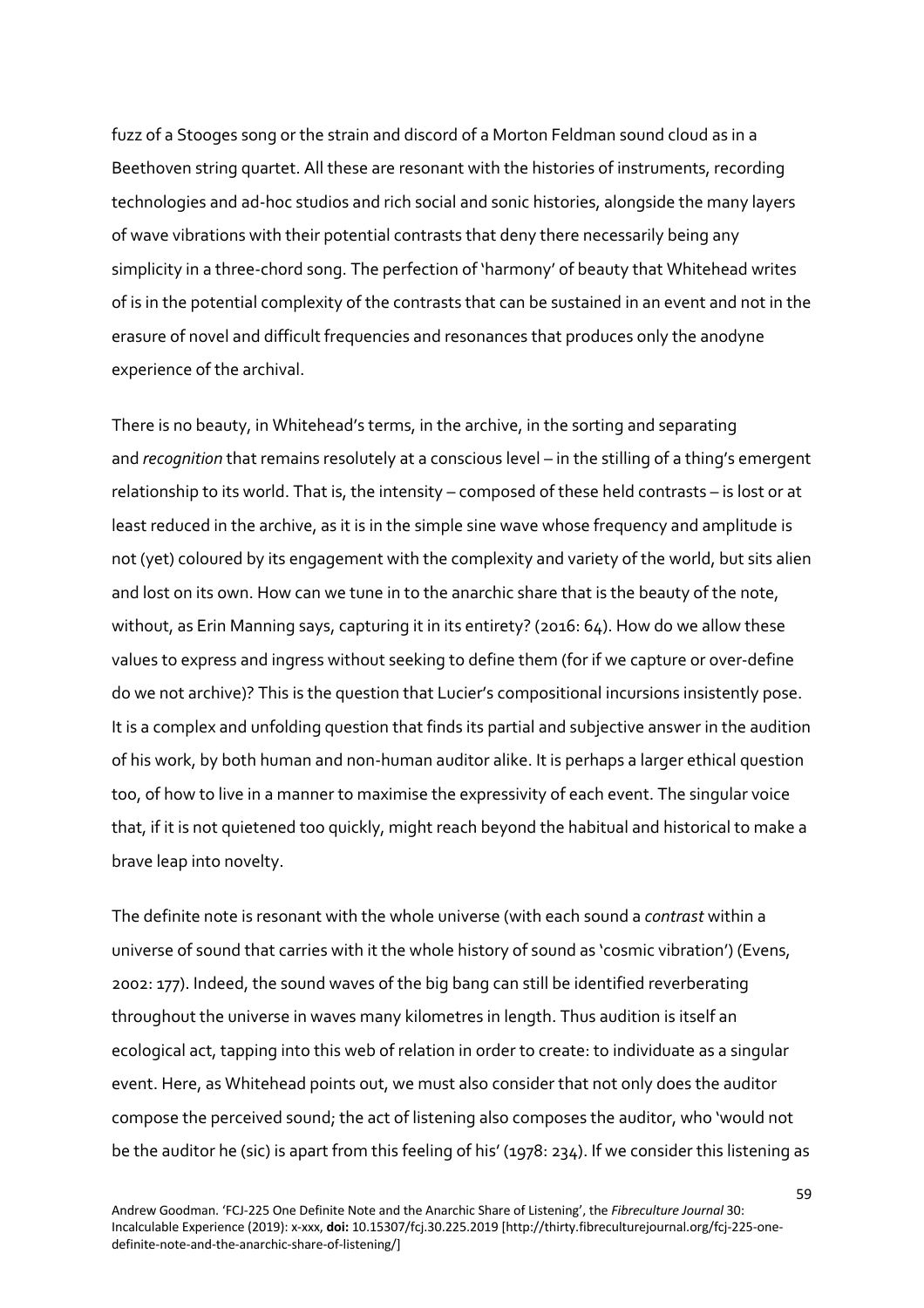fuzz of a Stooges song or the strain and discord of a Morton Feldman sound cloud as in a Beethoven string quartet. All these are resonant with the histories of instruments, recording technologies and ad-hoc studios and rich social and sonic histories, alongside the many layers of wave vibrations with their potential contrasts that deny there necessarily being any simplicity in a three-chord song. The perfection of 'harmony' of beauty that Whitehead writes of is in the potential complexity of the contrasts that can be sustained in an event and not in the erasure of novel and difficult frequencies and resonances that produces only the anodyne experience of the archival.

There is no beauty, in Whitehead's terms, in the archive, in the sorting and separating and *recognition* that remains resolutely at a conscious level – in the stilling of a thing's emergent relationship to its world. That is, the intensity – composed of these held contrasts – is lost or at least reduced in the archive, as it is in the simple sine wave whose frequency and amplitude is not (yet) coloured by its engagement with the complexity and variety of the world, but sits alien and lost on its own. How can we tune in to the anarchic share that is the beauty of the note, without, as Erin Manning says, capturing it in its entirety? (2016: 64). How do we allow these values to express and ingress without seeking to define them (for if we capture or over-define do we not archive)? This is the question that Lucier's compositional incursions insistently pose. It is a complex and unfolding question that finds its partial and subjective answer in the audition of his work, by both human and non-human auditor alike. It is perhaps a larger ethical question too, of how to live in a manner to maximise the expressivity of each event. The singular voice that, if it is not quietened too quickly, might reach beyond the habitual and historical to make a brave leap into novelty.

The definite note is resonant with the whole universe (with each sound a *contrast* within a universe of sound that carries with it the whole history of sound as 'cosmic vibration') (Evens, 2002: 177). Indeed, the sound waves of the big bang can still be identified reverberating throughout the universe in waves many kilometres in length. Thus audition is itself an ecological act, tapping into this web of relation in order to create: to individuate as a singular event. Here, as Whitehead points out, we must also consider that not only does the auditor compose the perceived sound; the act of listening also composes the auditor, who 'would not be the auditor he (sic) is apart from this feeling of his' (1978: 234). If we consider this listening as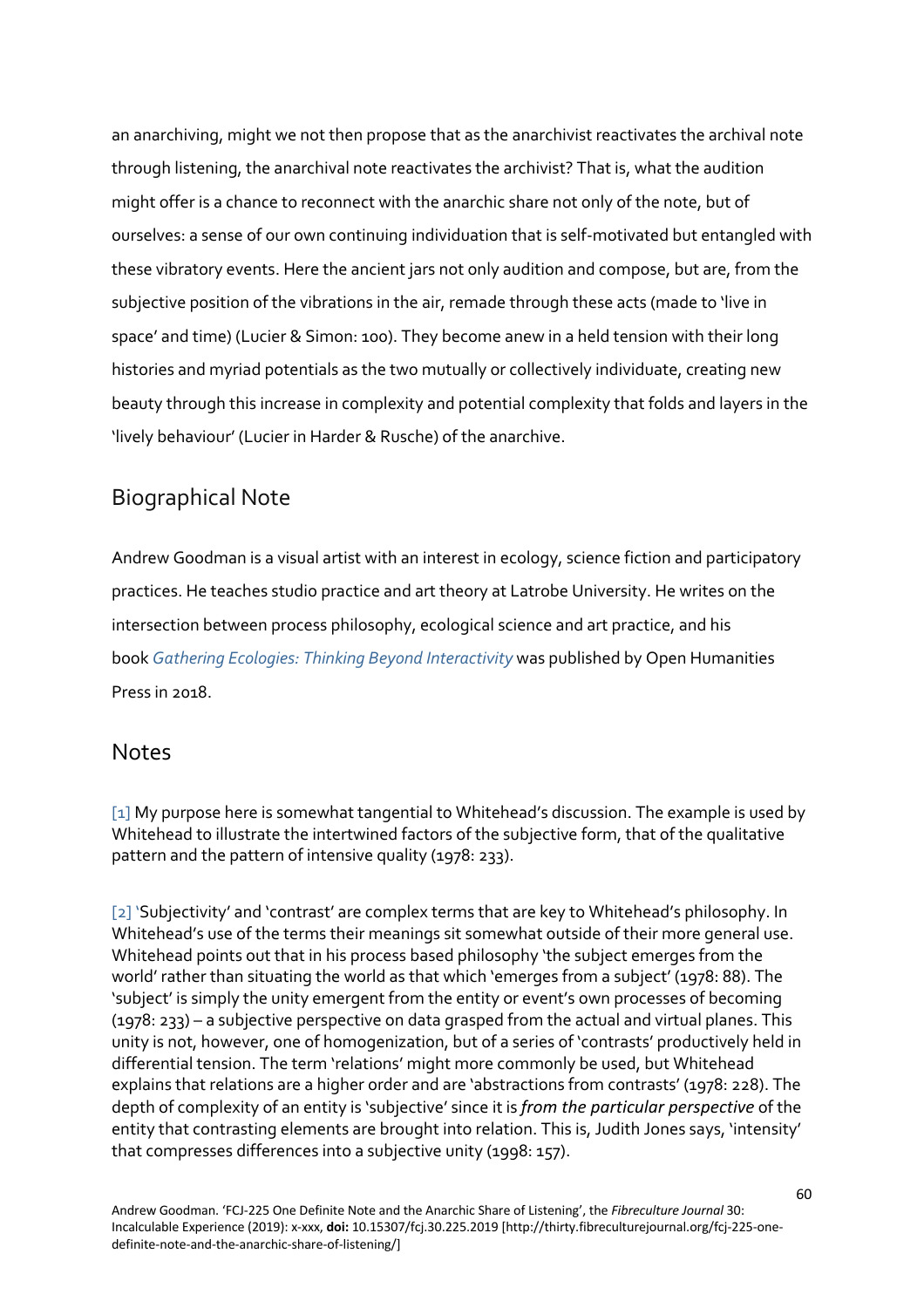an anarchiving, might we not then propose that as the anarchivist reactivates the archival note through listening, the anarchival note reactivates the archivist? That is, what the audition might offer is a chance to reconnect with the anarchic share not only of the note, but of ourselves: a sense of our own continuing individuation that is self-motivated but entangled with these vibratory events. Here the ancient jars not only audition and compose, but are, from the subjective position of the vibrations in the air, remade through these acts (made to 'live in space' and time) (Lucier & Simon: 100). They become anew in a held tension with their long histories and myriad potentials as the two mutually or collectively individuate, creating new beauty through this increase in complexity and potential complexity that folds and layers in the 'lively behaviour' (Lucier in Harder & Rusche) of the anarchive.

## Biographical Note

Andrew Goodman is a visual artist with an interest in ecology, science fiction and participatory practices. He teaches studio practice and art theory at Latrobe University. He writes on the intersection between process philosophy, ecological science and art practice, and his book *Gathering Ecologies: Thinking Beyond Interactivity* was published by Open Humanities Press in 2018

#### Notes

[1] My purpose here is somewhat tangential to Whitehead's discussion. The example is used by Whitehead to illustrate the intertwined factors of the subjective form, that of the qualitative pattern and the pattern of intensive quality (1978: 233).

[2] 'Subjectivity' and 'contrast' are complex terms that are key to Whitehead's philosophy. In Whitehead's use of the terms their meanings sit somewhat outside of their more general use. Whitehead points out that in his process based philosophy 'the subject emerges from the world' rather than situating the world as that which 'emerges from a subject' (1978: 88). The 'subject' is simply the unity emergent from the entity or event's own processes of becoming (1978: 233) – a subjective perspective on data grasped from the actual and virtual planes. This unity is not, however, one of homogenization, but of a series of 'contrasts' productively held in differential tension. The term 'relations' might more commonly be used, but Whitehead explains that relations are a higher order and are 'abstractions from contrasts' (1978: 228). The depth of complexity of an entity is 'subjective' since it is *from the particular perspective* of the entity that contrasting elements are brought into relation. This is, Judith Jones says, 'intensity' that compresses differences into a subjective unity (1998: 157).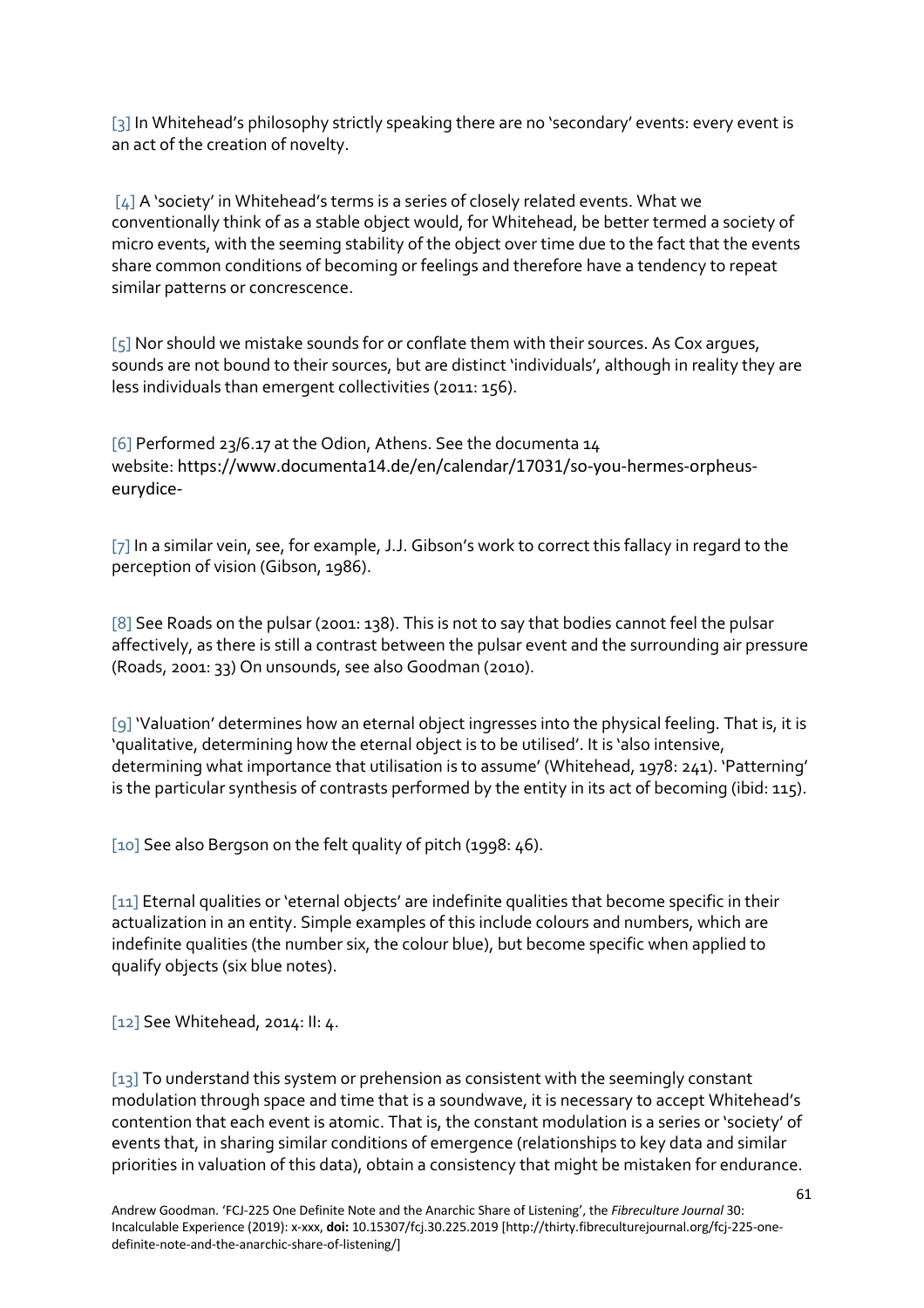[3] In Whitehead's philosophy strictly speaking there are no 'secondary' events: every event is an act of the creation of novelty.

[4] A 'society' in Whitehead's terms is a series of closely related events. What we conventionally think of as a stable object would, for Whitehead, be better termed a society of micro events, with the seeming stability of the object over time due to the fact that the events share common conditions of becoming or feelings and therefore have a tendency to repeat similar patterns or concrescence.

 $[5]$  Nor should we mistake sounds for or conflate them with their sources. As Cox argues, sounds are not bound to their sources, but are distinct 'individuals', although in reality they are less individuals than emergent collectivities (2011: 156).

[6] Performed 23/6.17 at the Odion, Athens. See the documenta 14 website: https://www.documenta14.de/en/calendar/17031/so-you-hermes-orpheuseurydice-

[7] In a similar vein, see, for example, J.J. Gibson's work to correct this fallacy in regard to the perception of vision (Gibson, 1986).

[8] See Roads on the pulsar (2001: 138). This is not to say that bodies cannot feel the pulsar affectively, as there is still a contrast between the pulsar event and the surrounding air pressure (Roads, 2001: 33) On unsounds, see also Goodman (2010).

[9] 'Valuation' determines how an eternal object ingresses into the physical feeling. That is, it is 'qualitative, determining how the eternal object is to be utilised'. It is 'also intensive, determining what importance that utilisation is to assume' (Whitehead, 1978: 241). 'Patterning' is the particular synthesis of contrasts performed by the entity in its act of becoming (ibid: 115).

[10] See also Bergson on the felt quality of pitch (1998: 46).

[11] Eternal qualities or 'eternal objects' are indefinite qualities that become specific in their actualization in an entity. Simple examples of this include colours and numbers, which are indefinite qualities (the number six, the colour blue), but become specific when applied to qualify objects (six blue notes).

[12] See Whitehead, 2014: II: 4.

[13] To understand this system or prehension as consistent with the seemingly constant modulation through space and time that is a soundwave, it is necessary to accept Whitehead's contention that each event is atomic. That is, the constant modulation is a series or 'society' of events that, in sharing similar conditions of emergence (relationships to key data and similar priorities in valuation of this data), obtain a consistency that might be mistaken for endurance.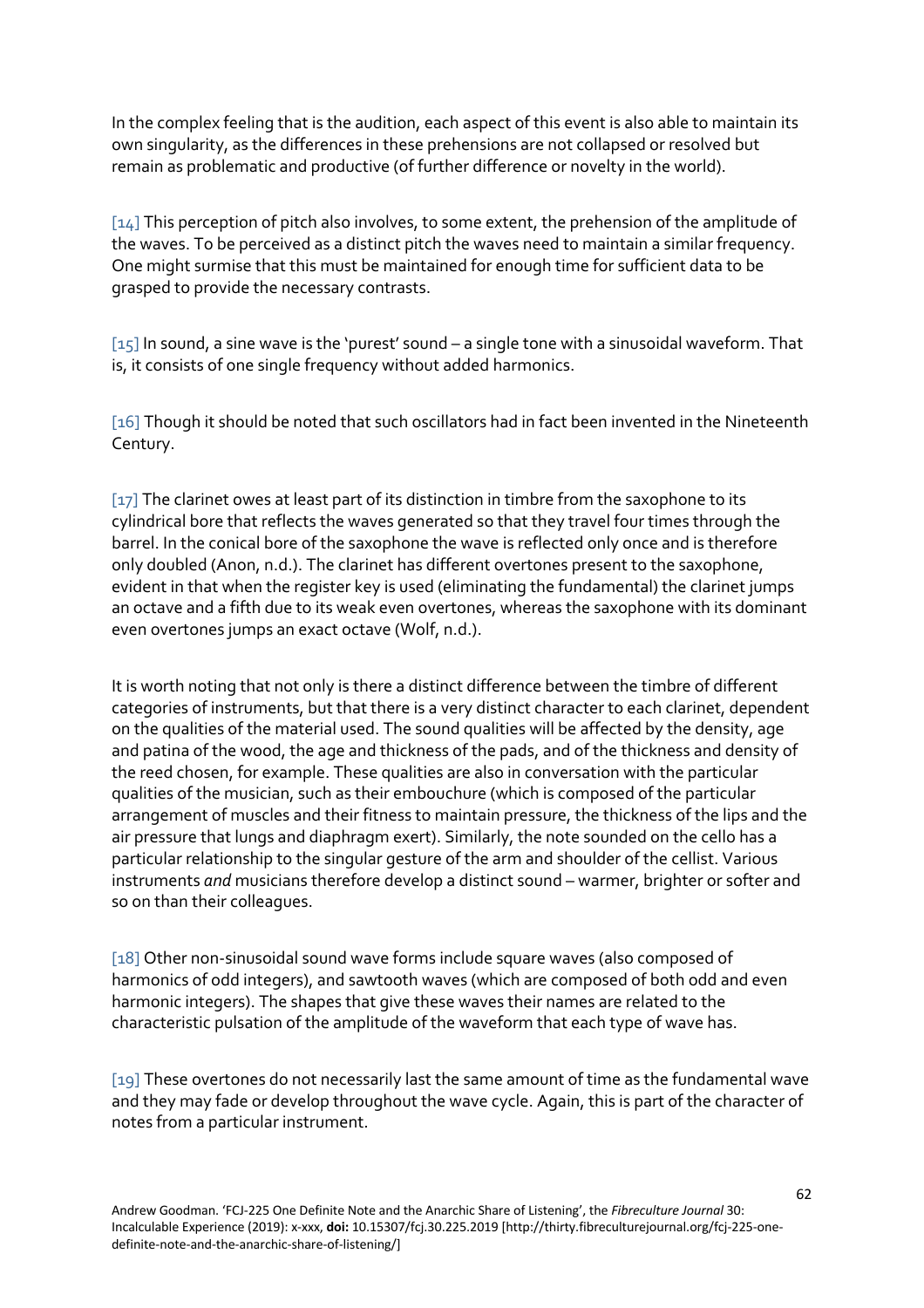In the complex feeling that is the audition, each aspect of this event is also able to maintain its own singularity, as the differences in these prehensions are not collapsed or resolved but remain as problematic and productive (of further difference or novelty in the world).

[14] This perception of pitch also involves, to some extent, the prehension of the amplitude of the waves. To be perceived as a distinct pitch the waves need to maintain a similar frequency. One might surmise that this must be maintained for enough time for sufficient data to be grasped to provide the necessary contrasts.

[15] In sound, a sine wave is the 'purest' sound – a single tone with a sinusoidal waveform. That is, it consists of one single frequency without added harmonics.

[16] Though it should be noted that such oscillators had in fact been invented in the Nineteenth Century.

[17] The clarinet owes at least part of its distinction in timbre from the saxophone to its cylindrical bore that reflects the waves generated so that they travel four times through the barrel. In the conical bore of the saxophone the wave is reflected only once and is therefore only doubled (Anon, n.d.). The clarinet has different overtones present to the saxophone, evident in that when the register key is used (eliminating the fundamental) the clarinet jumps an octave and a fifth due to its weak even overtones, whereas the saxophone with its dominant even overtones jumps an exact octave (Wolf, n.d.).

It is worth noting that not only is there a distinct difference between the timbre of different categories of instruments, but that there is a very distinct character to each clarinet, dependent on the qualities of the material used. The sound qualities will be affected by the density, age and patina of the wood, the age and thickness of the pads, and of the thickness and density of the reed chosen, for example. These qualities are also in conversation with the particular qualities of the musician, such as their embouchure (which is composed of the particular arrangement of muscles and their fitness to maintain pressure, the thickness of the lips and the air pressure that lungs and diaphragm exert). Similarly, the note sounded on the cello has a particular relationship to the singular gesture of the arm and shoulder of the cellist. Various instruments *and* musicians therefore develop a distinct sound – warmer, brighter or softer and so on than their colleagues.

[18] Other non-sinusoidal sound wave forms include square waves (also composed of harmonics of odd integers), and sawtooth waves (which are composed of both odd and even harmonic integers). The shapes that give these waves their names are related to the characteristic pulsation of the amplitude of the waveform that each type of wave has.

[19] These overtones do not necessarily last the same amount of time as the fundamental wave and they may fade or develop throughout the wave cycle. Again, this is part of the character of notes from a particular instrument.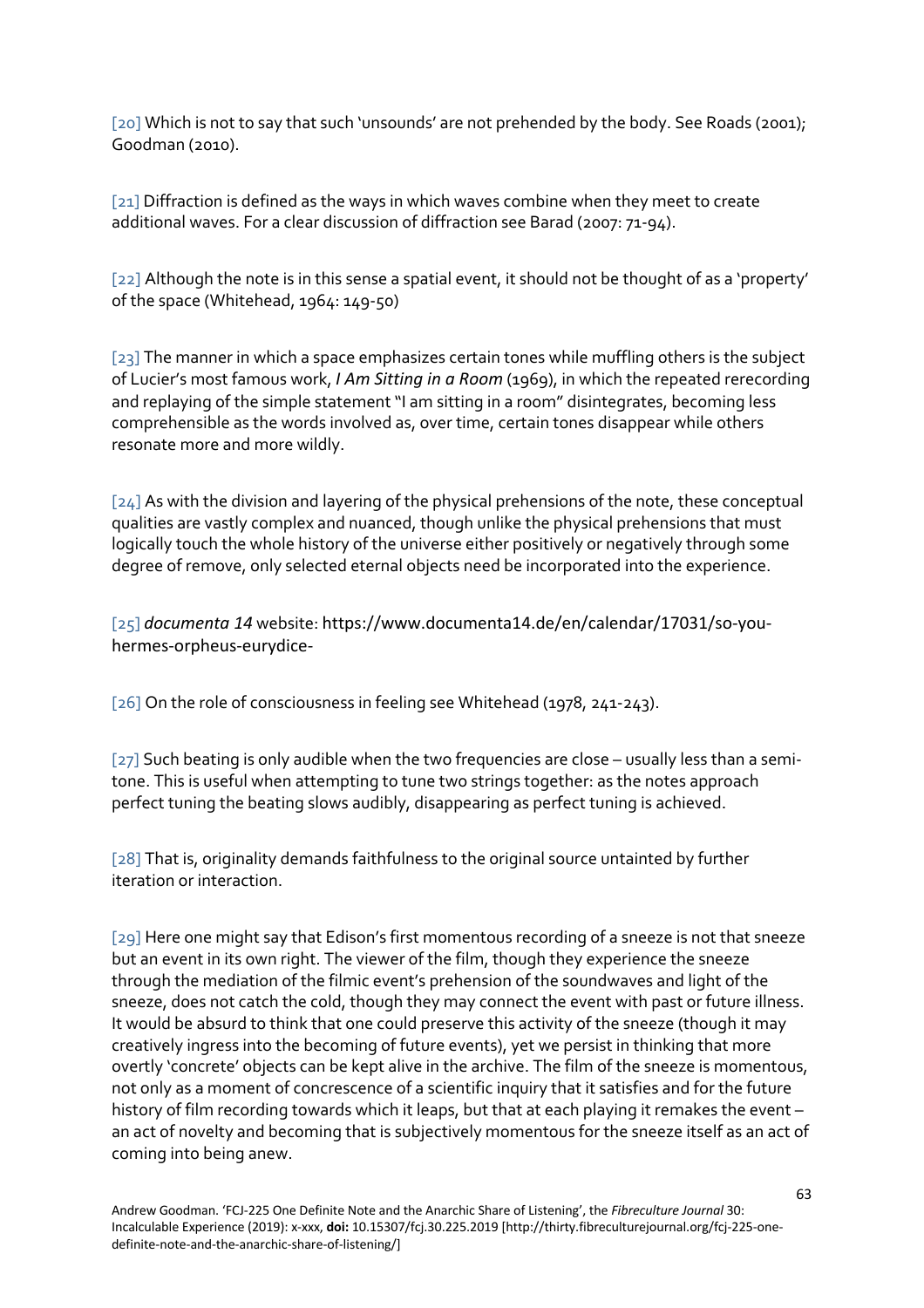[20] Which is not to say that such 'unsounds' are not prehended by the body. See Roads (2001); Goodman (2010).

[21] Diffraction is defined as the ways in which wayes combine when they meet to create additional waves. For a clear discussion of diffraction see Barad (2007: 71-94).

[22] Although the note is in this sense a spatial event, it should not be thought of as a 'property' of the space (Whitehead, 1964: 149-50)

[23] The manner in which a space emphasizes certain tones while muffling others is the subject of Lucier's most famous work, *I Am Sitting in a Room* (1969), in which the repeated rerecording and replaying of the simple statement "I am sitting in a room" disintegrates, becoming less comprehensible as the words involved as, over time, certain tones disappear while others resonate more and more wildly.

[24] As with the division and layering of the physical prehensions of the note, these conceptual qualities are vastly complex and nuanced, though unlike the physical prehensions that must logically touch the whole history of the universe either positively or negatively through some degree of remove, only selected eternal objects need be incorporated into the experience.

[25] *documenta 14* website: https://www.documenta14.de/en/calendar/17031/so-youhermes-orpheus-eurydice-

[26] On the role of consciousness in feeling see Whitehead (1978, 241-243).

[27] Such beating is only audible when the two frequencies are close – usually less than a semitone. This is useful when attempting to tune two strings together: as the notes approach perfect tuning the beating slows audibly, disappearing as perfect tuning is achieved.

[28] That is, originality demands faithfulness to the original source untainted by further iteration or interaction.

[29] Here one might say that Edison's first momentous recording of a sneeze is not that sneeze but an event in its own right. The viewer of the film, though they experience the sneeze through the mediation of the filmic event's prehension of the soundwaves and light of the sneeze, does not catch the cold, though they may connect the event with past or future illness. It would be absurd to think that one could preserve this activity of the sneeze (though it may creatively ingress into the becoming of future events), yet we persist in thinking that more overtly 'concrete' objects can be kept alive in the archive. The film of the sneeze is momentous, not only as a moment of concrescence of a scientific inquiry that it satisfies and for the future history of film recording towards which it leaps, but that at each playing it remakes the event – an act of novelty and becoming that is subjectively momentous for the sneeze itself as an act of coming into being anew.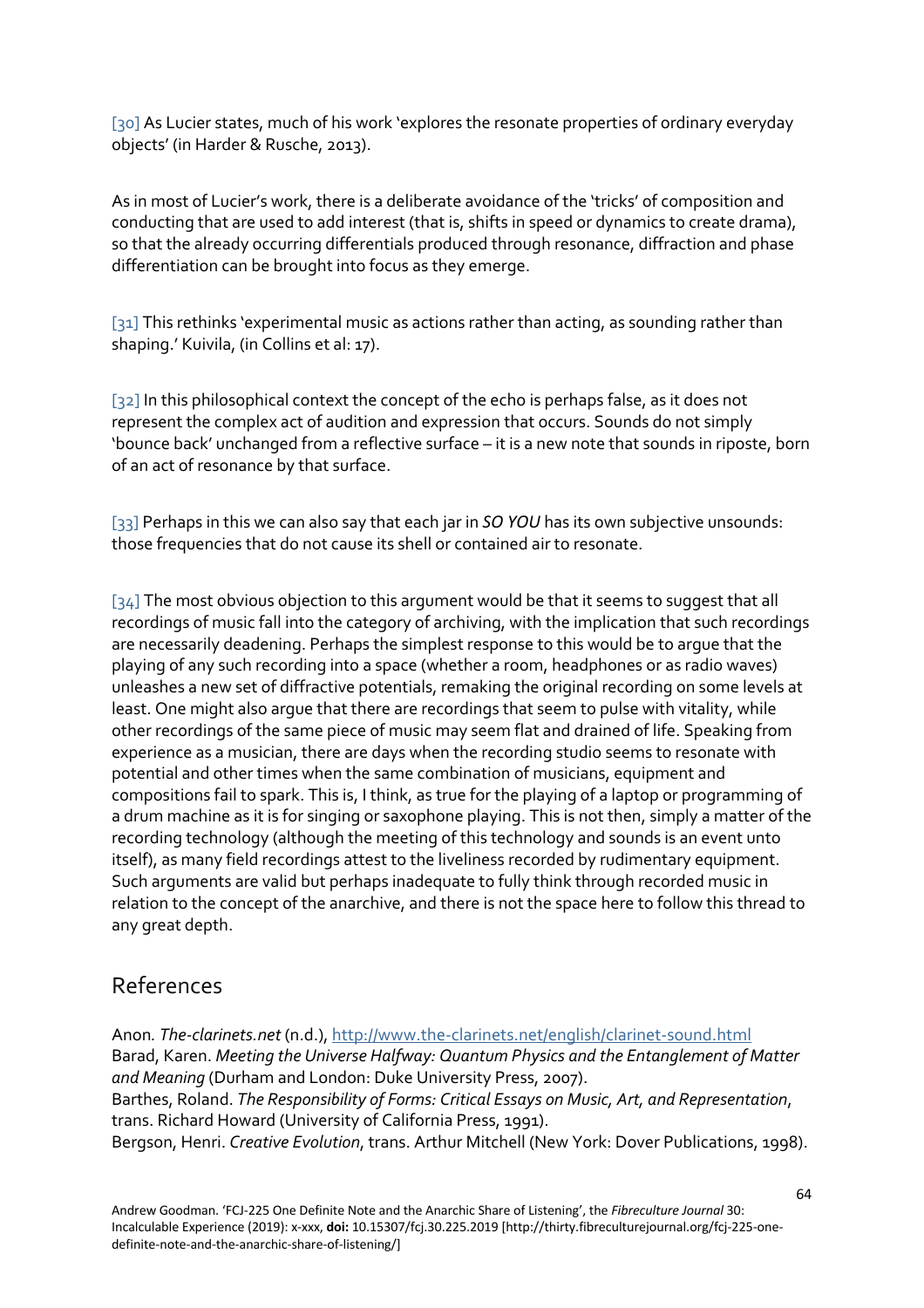[30] As Lucier states, much of his work 'explores the resonate properties of ordinary everyday objects' (in Harder & Rusche, 2013).

As in most of Lucier's work, there is a deliberate avoidance of the 'tricks' of composition and conducting that are used to add interest (that is, shifts in speed or dynamics to create drama), so that the already occurring differentials produced through resonance, diffraction and phase differentiation can be brought into focus as they emerge.

[31] This rethinks 'experimental music as actions rather than acting, as sounding rather than shaping.' Kuivila, (in Collins et al: 17).

[32] In this philosophical context the concept of the echo is perhaps false, as it does not represent the complex act of audition and expression that occurs. Sounds do not simply 'bounce back' unchanged from a reflective surface – it is a new note that sounds in riposte, born of an act of resonance by that surface.

[33] Perhaps in this we can also say that each jar in *SO YOU* has its own subjective unsounds: those frequencies that do not cause its shell or contained air to resonate.

 $[34]$  The most obvious objection to this argument would be that it seems to suggest that all recordings of music fall into the category of archiving, with the implication that such recordings are necessarily deadening. Perhaps the simplest response to this would be to argue that the playing of any such recording into a space (whether a room, headphones or as radio waves) unleashes a new set of diffractive potentials, remaking the original recording on some levels at least. One might also argue that there are recordings that seem to pulse with vitality, while other recordings of the same piece of music may seem flat and drained of life. Speaking from experience as a musician, there are days when the recording studio seems to resonate with potential and other times when the same combination of musicians, equipment and compositions fail to spark. This is, I think, as true for the playing of a laptop or programming of a drum machine as it is for singing or saxophone playing. This is not then, simply a matter of the recording technology (although the meeting of this technology and sounds is an event unto itself), as many field recordings attest to the liveliness recorded by rudimentary equipment. Such arguments are valid but perhaps inadequate to fully think through recorded music in relation to the concept of the anarchive, and there is not the space here to follow this thread to any great depth.

### References

Anon*. The-clarinets.net* (n.d.), http://www.the-clarinets.net/english/clarinet-sound.html Barad, Karen. *Meeting the Universe Halfway: Quantum Physics and the Entanglement of Matter and Meaning* (Durham and London: Duke University Press, 2007). Barthes, Roland. *The Responsibility of Forms: Critical Essays on Music, Art, and Representation*, trans. Richard Howard (University of California Press, 1991). Bergson, Henri. *Creative Evolution*, trans. Arthur Mitchell (New York: Dover Publications, 1998).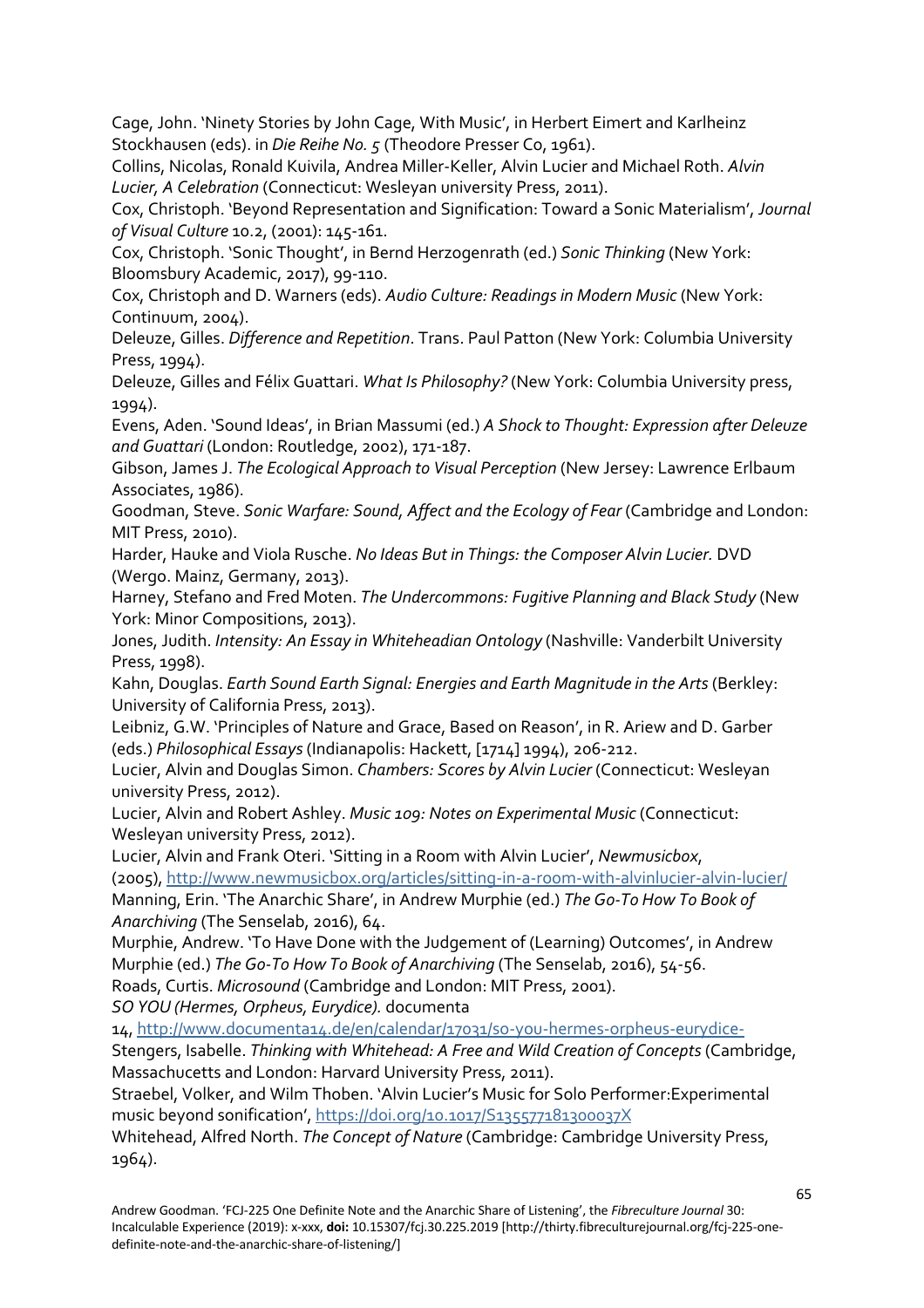Cage, John. 'Ninety Stories by John Cage, With Music', in Herbert Eimert and Karlheinz Stockhausen (eds). in *Die Reihe No. 5* (Theodore Presser Co, 1961).

Collins, Nicolas, Ronald Kuivila, Andrea Miller-Keller, Alvin Lucier and Michael Roth. *Alvin Lucier, A Celebration* (Connecticut: Wesleyan university Press, 2011).

Cox, Christoph. 'Beyond Representation and Signification: Toward a Sonic Materialism', *Journal of Visual Culture* 10.2, (2001): 145-161.

Cox, Christoph. 'Sonic Thought', in Bernd Herzogenrath (ed.) *Sonic Thinking* (New York: Bloomsbury Academic, 2017), 99-110.

Cox, Christoph and D. Warners (eds). *Audio Culture: Readings in Modern Music* (New York: Continuum, 2004).

Deleuze, Gilles. *Difference and Repetition*. Trans. Paul Patton (New York: Columbia University Press, 1994).

Deleuze, Gilles and Félix Guattari. *What Is Philosophy?* (New York: Columbia University press, 1994).

Evens, Aden. 'Sound Ideas', in Brian Massumi (ed.) *A Shock to Thought: Expression after Deleuze and Guattari* (London: Routledge, 2002), 171-187.

Gibson, James J. *The Ecological Approach to Visual Perception* (New Jersey: Lawrence Erlbaum Associates, 1986).

Goodman, Steve. *Sonic Warfare: Sound, Affect and the Ecology of Fear* (Cambridge and London: MIT Press, 2010).

Harder, Hauke and Viola Rusche. *No Ideas But in Things: the Composer Alvin Lucier.* DVD (Wergo. Mainz, Germany, 2013).

Harney, Stefano and Fred Moten. *The Undercommons: Fugitive Planning and Black Study* (New York: Minor Compositions, 2013).

Jones, Judith. *Intensity: An Essay in Whiteheadian Ontology* (Nashville: Vanderbilt University Press, 1998).

Kahn, Douglas. *Earth Sound Earth Signal: Energies and Earth Magnitude in the Arts* (Berkley: University of California Press, 2013).

Leibniz, G.W. 'Principles of Nature and Grace, Based on Reason', in R. Ariew and D. Garber (eds.) *Philosophical Essays*(Indianapolis: Hackett, [1714] 1994), 206-212.

Lucier, Alvin and Douglas Simon. *Chambers: Scores by Alvin Lucier* (Connecticut: Wesleyan university Press, 2012).

Lucier, Alvin and Robert Ashley. *Music 109: Notes on Experimental Music* (Connecticut: Wesleyan university Press, 2012).

Lucier, Alvin and Frank Oteri. 'Sitting in a Room with Alvin Lucier', *Newmusicbox*, (2005), http://www.newmusicbox.org/articles/sitting-in-a-room-with-alvinlucier-alvin-lucier/ Manning, Erin. 'The Anarchic Share', in Andrew Murphie (ed.) *The Go-To How To Book of*

*Anarchiving* (The Senselab, 2016), 64.

Murphie, Andrew. 'To Have Done with the Judgement of (Learning) Outcomes', in Andrew Murphie (ed.) *The Go-To How To Book of Anarchiving* (The Senselab, 2016), 54-56. Roads, Curtis. *Microsound* (Cambridge and London: MIT Press, 2001).

*SO YOU (Hermes, Orpheus, Eurydice).* documenta

14, http://www.documenta14.de/en/calendar/17031/so-you-hermes-orpheus-eurydice-

Stengers, Isabelle. *Thinking with Whitehead: A Free and Wild Creation of Concepts* (Cambridge, Massachucetts and London: Harvard University Press, 2011).

Straebel, Volker, and Wilm Thoben. 'Alvin Lucier's Music for Solo Performer:Experimental music beyond sonification', https://doi.org/10.1017/S135577181300037X

Whitehead, Alfred North. *The Concept of Nature* (Cambridge: Cambridge University Press, 1964).